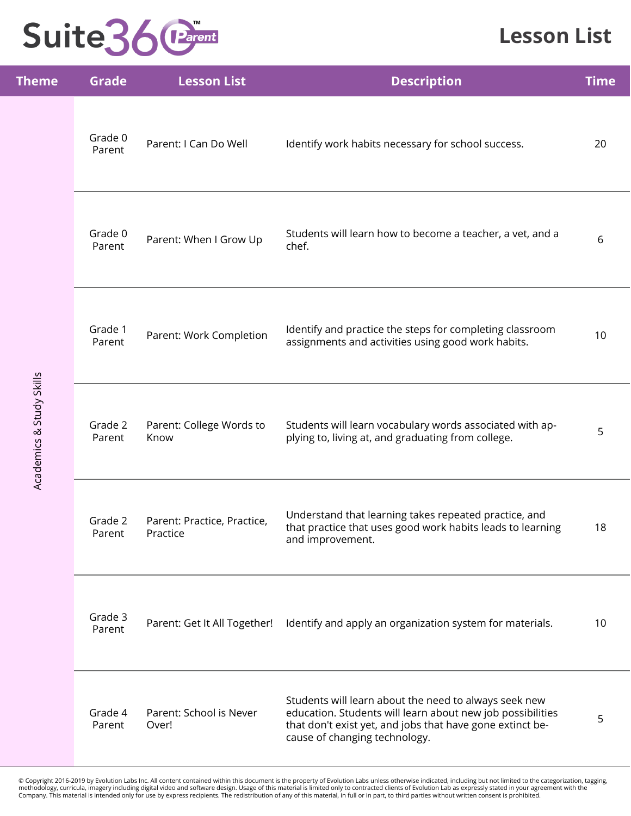### **Lesson List**

| <b>Theme</b>             | <b>Grade</b>      | <b>Lesson List</b>                      | <b>Description</b>                                                                                                                                                                                                | <b>Time</b> |
|--------------------------|-------------------|-----------------------------------------|-------------------------------------------------------------------------------------------------------------------------------------------------------------------------------------------------------------------|-------------|
|                          | Grade 0<br>Parent | Parent: I Can Do Well                   | Identify work habits necessary for school success.                                                                                                                                                                | 20          |
| Academics & Study Skills | Grade 0<br>Parent | Parent: When I Grow Up                  | Students will learn how to become a teacher, a vet, and a<br>chef.                                                                                                                                                | 6           |
|                          | Grade 1<br>Parent | Parent: Work Completion                 | Identify and practice the steps for completing classroom<br>assignments and activities using good work habits.                                                                                                    | 10          |
|                          | Grade 2<br>Parent | Parent: College Words to<br>Know        | Students will learn vocabulary words associated with ap-<br>plying to, living at, and graduating from college.                                                                                                    | 5           |
|                          | Grade 2<br>Parent | Parent: Practice, Practice,<br>Practice | Understand that learning takes repeated practice, and<br>that practice that uses good work habits leads to learning<br>and improvement.                                                                           | 18          |
|                          | Grade 3<br>Parent | Parent: Get It All Together!            | Identify and apply an organization system for materials.                                                                                                                                                          | 10          |
|                          | Grade 4<br>Parent | Parent: School is Never<br>Over!        | Students will learn about the need to always seek new<br>education. Students will learn about new job possibilities<br>that don't exist yet, and jobs that have gone extinct be-<br>cause of changing technology. | 5           |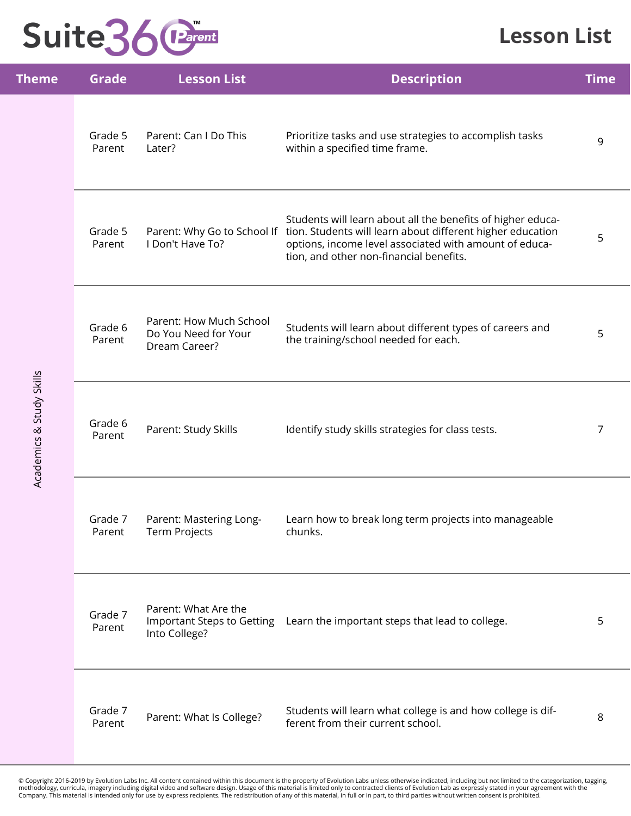#### **Lesson List**

| <b>Theme</b>             | <b>Grade</b>      | <b>Lesson List</b>                                                  | <b>Description</b>                                                                                                                                                                                                                                         | <b>Time</b> |
|--------------------------|-------------------|---------------------------------------------------------------------|------------------------------------------------------------------------------------------------------------------------------------------------------------------------------------------------------------------------------------------------------------|-------------|
|                          | Grade 5<br>Parent | Parent: Can I Do This<br>Later?                                     | Prioritize tasks and use strategies to accomplish tasks<br>within a specified time frame.                                                                                                                                                                  | 9           |
|                          | Grade 5<br>Parent | I Don't Have To?                                                    | Students will learn about all the benefits of higher educa-<br>Parent: Why Go to School If tion. Students will learn about different higher education<br>options, income level associated with amount of educa-<br>tion, and other non-financial benefits. | 5           |
|                          | Grade 6<br>Parent | Parent: How Much School<br>Do You Need for Your<br>Dream Career?    | Students will learn about different types of careers and<br>the training/school needed for each.                                                                                                                                                           | 5           |
| Academics & Study Skills | Grade 6<br>Parent | Parent: Study Skills                                                | Identify study skills strategies for class tests.                                                                                                                                                                                                          | 7           |
|                          | Grade 7<br>Parent | Parent: Mastering Long-<br>Term Projects                            | Learn how to break long term projects into manageable<br>chunks.                                                                                                                                                                                           |             |
|                          | Grade 7<br>Parent | Parent: What Are the<br>Important Steps to Getting<br>Into College? | Learn the important steps that lead to college.                                                                                                                                                                                                            | 5           |
|                          | Grade 7<br>Parent | Parent: What Is College?                                            | Students will learn what college is and how college is dif-<br>ferent from their current school.                                                                                                                                                           | 8           |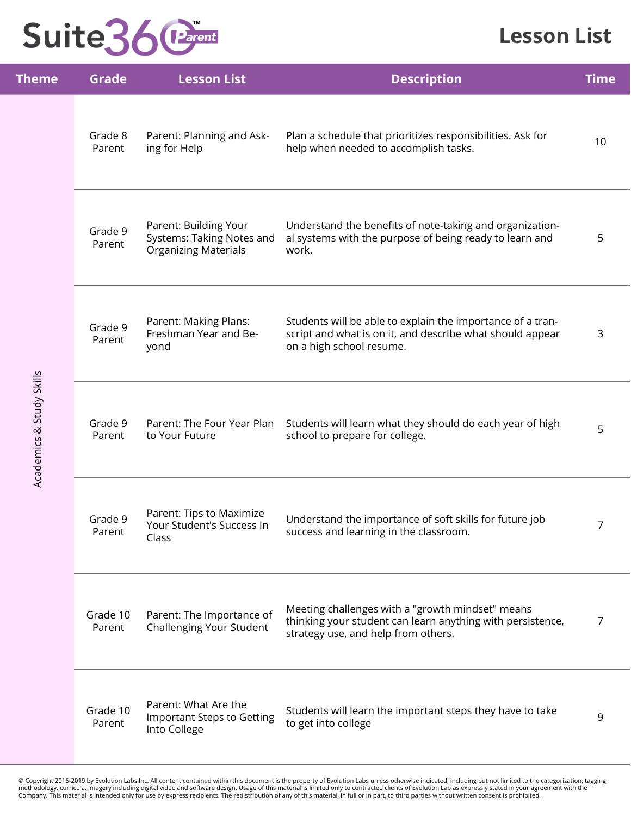### **Lesson List**

| <b>Theme</b>             | <b>Grade</b>       | <b>Lesson List</b>                                                                | <b>Description</b>                                                                                                                                    | <b>Time</b>    |
|--------------------------|--------------------|-----------------------------------------------------------------------------------|-------------------------------------------------------------------------------------------------------------------------------------------------------|----------------|
|                          | Grade 8<br>Parent  | Parent: Planning and Ask-<br>ing for Help                                         | Plan a schedule that prioritizes responsibilities. Ask for<br>help when needed to accomplish tasks.                                                   | 10             |
|                          | Grade 9<br>Parent  | Parent: Building Your<br>Systems: Taking Notes and<br><b>Organizing Materials</b> | Understand the benefits of note-taking and organization-<br>al systems with the purpose of being ready to learn and<br>work.                          | 5              |
| Academics & Study Skills | Grade 9<br>Parent  | Parent: Making Plans:<br>Freshman Year and Be-<br>yond                            | Students will be able to explain the importance of a tran-<br>script and what is on it, and describe what should appear<br>on a high school resume.   | 3              |
|                          | Grade 9<br>Parent  | Parent: The Four Year Plan<br>to Your Future                                      | Students will learn what they should do each year of high<br>school to prepare for college.                                                           | 5              |
|                          | Grade 9<br>Parent  | Parent: Tips to Maximize<br>Your Student's Success In<br>Class                    | Understand the importance of soft skills for future job<br>success and learning in the classroom.                                                     | 7              |
|                          | Grade 10<br>Parent | Parent: The Importance of<br>Challenging Your Student                             | Meeting challenges with a "growth mindset" means<br>thinking your student can learn anything with persistence,<br>strategy use, and help from others. | $\overline{7}$ |
|                          | Grade 10<br>Parent | Parent: What Are the<br><b>Important Steps to Getting</b><br>Into College         | Students will learn the important steps they have to take<br>to get into college                                                                      | 9              |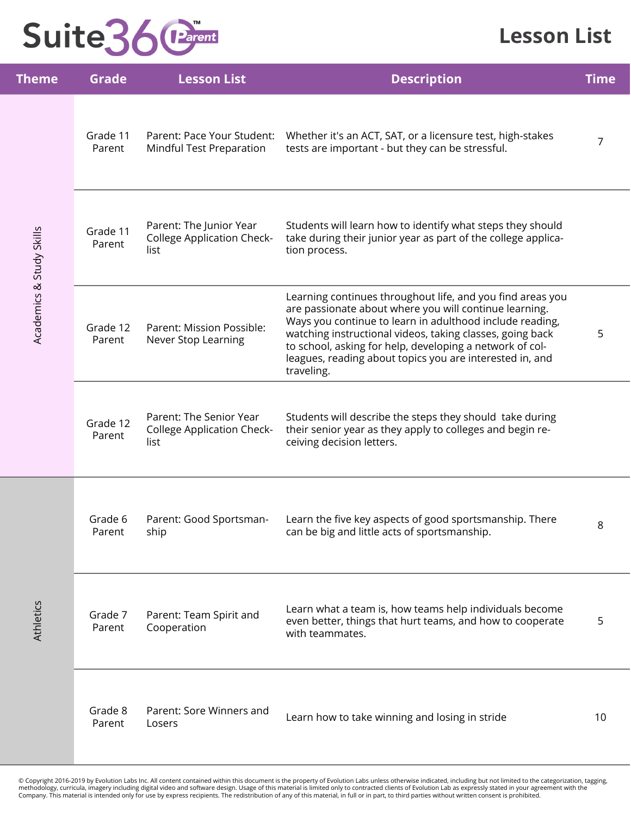#### **Lesson List**

| <b>Theme</b>             | <b>Grade</b>       | <b>Lesson List</b>                                                   | <b>Description</b>                                                                                                                                                                                                                                                                                                                                                                  | <b>Time</b> |
|--------------------------|--------------------|----------------------------------------------------------------------|-------------------------------------------------------------------------------------------------------------------------------------------------------------------------------------------------------------------------------------------------------------------------------------------------------------------------------------------------------------------------------------|-------------|
|                          | Grade 11<br>Parent | Parent: Pace Your Student:<br>Mindful Test Preparation               | Whether it's an ACT, SAT, or a licensure test, high-stakes<br>tests are important - but they can be stressful.                                                                                                                                                                                                                                                                      | 7           |
| Academics & Study Skills | Grade 11<br>Parent | Parent: The Junior Year<br><b>College Application Check-</b><br>list | Students will learn how to identify what steps they should<br>take during their junior year as part of the college applica-<br>tion process.                                                                                                                                                                                                                                        |             |
|                          | Grade 12<br>Parent | Parent: Mission Possible:<br>Never Stop Learning                     | Learning continues throughout life, and you find areas you<br>are passionate about where you will continue learning.<br>Ways you continue to learn in adulthood include reading,<br>watching instructional videos, taking classes, going back<br>to school, asking for help, developing a network of col-<br>leagues, reading about topics you are interested in, and<br>traveling. | 5           |
|                          | Grade 12<br>Parent | Parent: The Senior Year<br><b>College Application Check-</b><br>list | Students will describe the steps they should take during<br>their senior year as they apply to colleges and begin re-<br>ceiving decision letters.                                                                                                                                                                                                                                  |             |
|                          | Grade 6<br>Parent  | Parent: Good Sportsman-<br>ship                                      | Learn the five key aspects of good sportsmanship. There<br>can be big and little acts of sportsmanship.                                                                                                                                                                                                                                                                             | 8           |
| <b>Athletics</b>         | Grade 7<br>Parent  | Parent: Team Spirit and<br>Cooperation                               | Learn what a team is, how teams help individuals become<br>even better, things that hurt teams, and how to cooperate<br>with teammates.                                                                                                                                                                                                                                             | 5           |
|                          | Grade 8<br>Parent  | Parent: Sore Winners and<br>Losers                                   | Learn how to take winning and losing in stride                                                                                                                                                                                                                                                                                                                                      | 10          |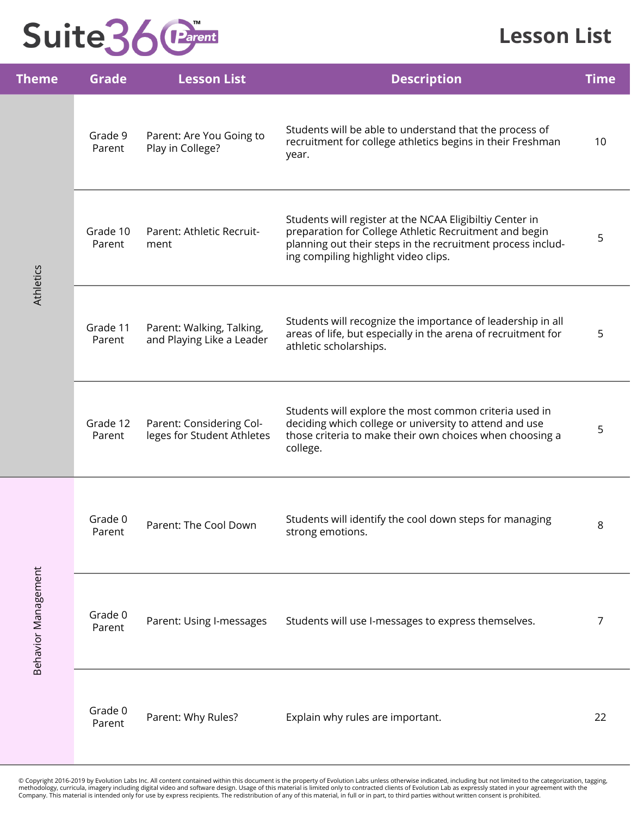#### **Lesson List**

| <b>Theme</b>        | <b>Grade</b>       | <b>Lesson List</b>                                     | <b>Description</b>                                                                                                                                                                                                        | <b>Time</b> |
|---------------------|--------------------|--------------------------------------------------------|---------------------------------------------------------------------------------------------------------------------------------------------------------------------------------------------------------------------------|-------------|
|                     | Grade 9<br>Parent  | Parent: Are You Going to<br>Play in College?           | Students will be able to understand that the process of<br>recruitment for college athletics begins in their Freshman<br>year.                                                                                            | 10          |
| <b>Athletics</b>    | Grade 10<br>Parent | Parent: Athletic Recruit-<br>ment                      | Students will register at the NCAA Eligibiltiy Center in<br>preparation for College Athletic Recruitment and begin<br>planning out their steps in the recruitment process includ-<br>ing compiling highlight video clips. | 5           |
|                     | Grade 11<br>Parent | Parent: Walking, Talking,<br>and Playing Like a Leader | Students will recognize the importance of leadership in all<br>areas of life, but especially in the arena of recruitment for<br>athletic scholarships.                                                                    | 5           |
|                     | Grade 12<br>Parent | Parent: Considering Col-<br>leges for Student Athletes | Students will explore the most common criteria used in<br>deciding which college or university to attend and use<br>those criteria to make their own choices when choosing a<br>college.                                  | 5           |
| Behavior Management | Grade 0<br>Parent  | Parent: The Cool Down                                  | Students will identify the cool down steps for managing<br>strong emotions.                                                                                                                                               | 8           |
|                     | Grade 0<br>Parent  | Parent: Using I-messages                               | Students will use I-messages to express themselves.                                                                                                                                                                       | 7           |
|                     | Grade 0<br>Parent  | Parent: Why Rules?                                     | Explain why rules are important.                                                                                                                                                                                          | 22          |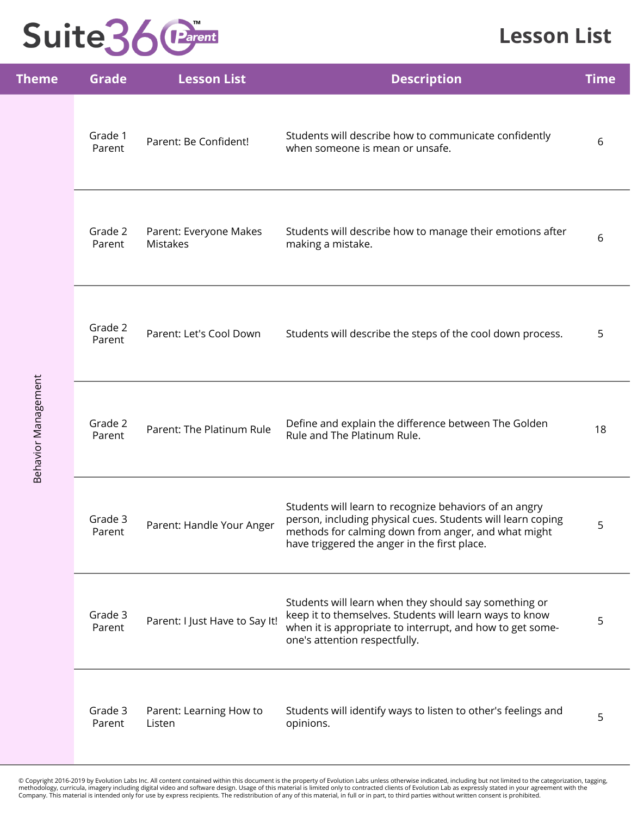### **Lesson List**

| <b>Theme</b>               | <b>Grade</b>      | <b>Lesson List</b>                        | <b>Description</b>                                                                                                                                                                                                           | <b>Time</b> |
|----------------------------|-------------------|-------------------------------------------|------------------------------------------------------------------------------------------------------------------------------------------------------------------------------------------------------------------------------|-------------|
|                            | Grade 1<br>Parent | Parent: Be Confident!                     | Students will describe how to communicate confidently<br>when someone is mean or unsafe.                                                                                                                                     | 6           |
|                            | Grade 2<br>Parent | Parent: Everyone Makes<br><b>Mistakes</b> | Students will describe how to manage their emotions after<br>making a mistake.                                                                                                                                               | 6           |
|                            | Grade 2<br>Parent | Parent: Let's Cool Down                   | Students will describe the steps of the cool down process.                                                                                                                                                                   | 5           |
| <b>Behavior Management</b> | Grade 2<br>Parent | Parent: The Platinum Rule                 | Define and explain the difference between The Golden<br>Rule and The Platinum Rule.                                                                                                                                          | 18          |
|                            | Grade 3<br>Parent | Parent: Handle Your Anger                 | Students will learn to recognize behaviors of an angry<br>person, including physical cues. Students will learn coping<br>methods for calming down from anger, and what might<br>have triggered the anger in the first place. | 5           |
|                            | Grade 3<br>Parent | Parent: I Just Have to Say It!            | Students will learn when they should say something or<br>keep it to themselves. Students will learn ways to know<br>when it is appropriate to interrupt, and how to get some-<br>one's attention respectfully.               | 5           |
|                            | Grade 3<br>Parent | Parent: Learning How to<br>Listen         | Students will identify ways to listen to other's feelings and<br>opinions.                                                                                                                                                   | 5           |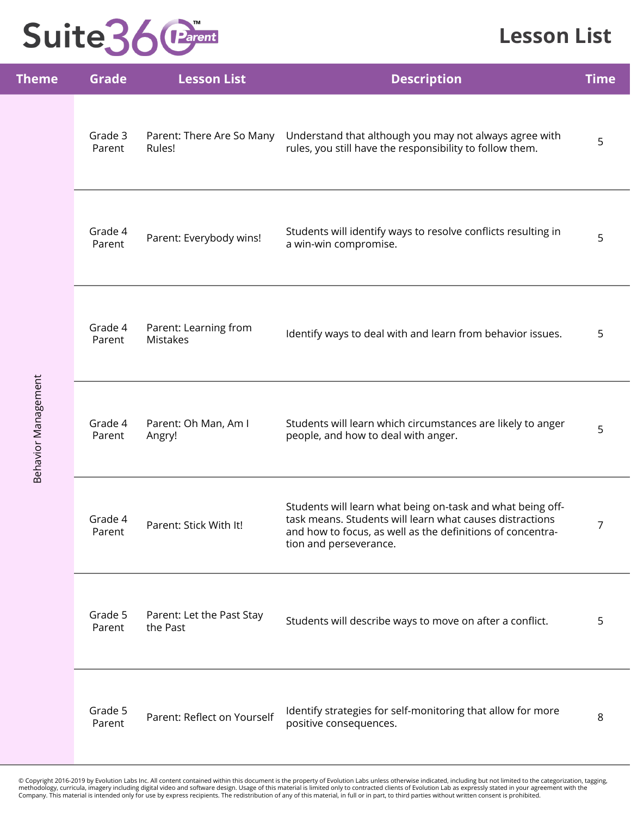### **Lesson List**

| Theme                      | <b>Grade</b>      | <b>Lesson List</b>                       | <b>Description</b>                                                                                                                                                                                             | <b>Time</b> |
|----------------------------|-------------------|------------------------------------------|----------------------------------------------------------------------------------------------------------------------------------------------------------------------------------------------------------------|-------------|
|                            | Grade 3<br>Parent | Parent: There Are So Many<br>Rules!      | Understand that although you may not always agree with<br>rules, you still have the responsibility to follow them.                                                                                             | 5           |
|                            | Grade 4<br>Parent | Parent: Everybody wins!                  | Students will identify ways to resolve conflicts resulting in<br>a win-win compromise.                                                                                                                         | 5           |
|                            | Grade 4<br>Parent | Parent: Learning from<br><b>Mistakes</b> | Identify ways to deal with and learn from behavior issues.                                                                                                                                                     | 5           |
| <b>Behavior Management</b> | Grade 4<br>Parent | Parent: Oh Man, Am I<br>Angry!           | Students will learn which circumstances are likely to anger<br>people, and how to deal with anger.                                                                                                             | 5           |
|                            | Grade 4<br>Parent | Parent: Stick With It!                   | Students will learn what being on-task and what being off-<br>task means. Students will learn what causes distractions<br>and how to focus, as well as the definitions of concentra-<br>tion and perseverance. | 7           |
|                            | Grade 5<br>Parent | Parent: Let the Past Stay<br>the Past    | Students will describe ways to move on after a conflict.                                                                                                                                                       | 5           |
|                            | Grade 5<br>Parent | Parent: Reflect on Yourself              | Identify strategies for self-monitoring that allow for more<br>positive consequences.                                                                                                                          | 8           |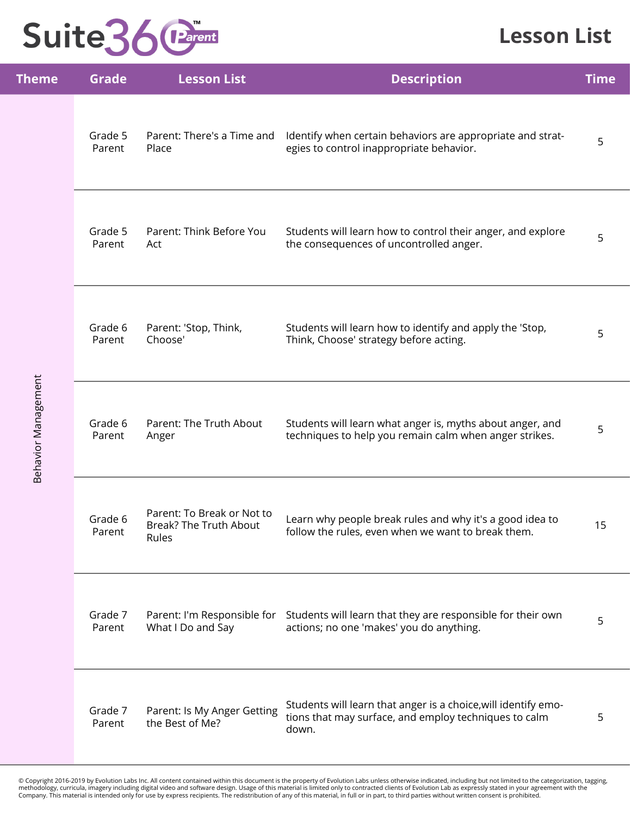### **Lesson List**

| <b>Theme</b>               | <b>Grade</b>      | <b>Lesson List</b>                                            | <b>Description</b>                                                                                                                  | <b>Time</b> |
|----------------------------|-------------------|---------------------------------------------------------------|-------------------------------------------------------------------------------------------------------------------------------------|-------------|
|                            | Grade 5<br>Parent | Parent: There's a Time and<br>Place                           | Identify when certain behaviors are appropriate and strat-<br>egies to control inappropriate behavior.                              | 5           |
|                            | Grade 5<br>Parent | Parent: Think Before You<br>Act                               | Students will learn how to control their anger, and explore<br>the consequences of uncontrolled anger.                              | 5           |
| <b>Behavior Management</b> | Grade 6<br>Parent | Parent: 'Stop, Think,<br>Choose'                              | Students will learn how to identify and apply the 'Stop,<br>Think, Choose' strategy before acting.                                  | 5           |
|                            | Grade 6<br>Parent | Parent: The Truth About<br>Anger                              | Students will learn what anger is, myths about anger, and<br>techniques to help you remain calm when anger strikes.                 | 5           |
|                            | Grade 6<br>Parent | Parent: To Break or Not to<br>Break? The Truth About<br>Rules | Learn why people break rules and why it's a good idea to<br>follow the rules, even when we want to break them.                      | 15          |
|                            | Grade 7<br>Parent | What I Do and Say                                             | Parent: I'm Responsible for Students will learn that they are responsible for their own<br>actions; no one 'makes' you do anything. | 5           |
|                            | Grade 7<br>Parent | Parent: Is My Anger Getting<br>the Best of Me?                | Students will learn that anger is a choice, will identify emo-<br>tions that may surface, and employ techniques to calm<br>down.    | 5           |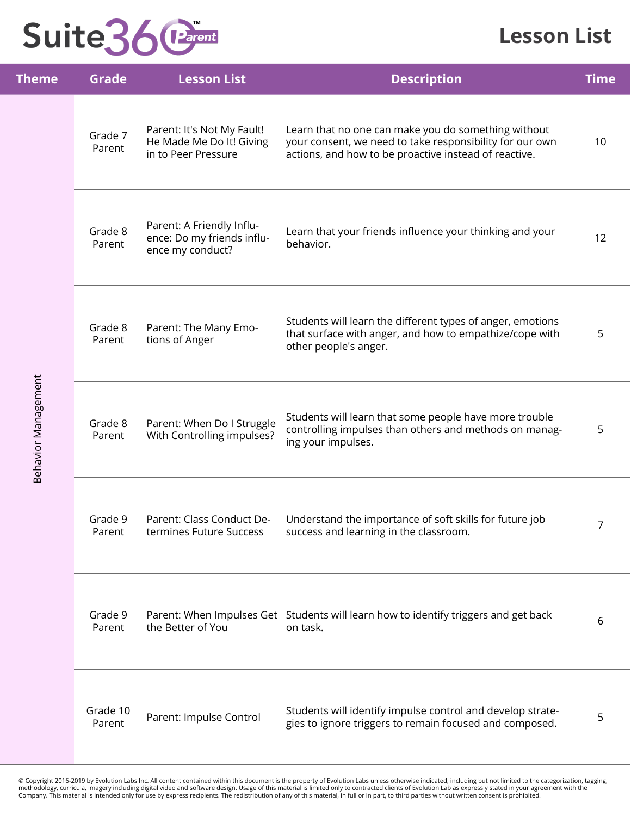#### **Lesson List**

| <b>Theme</b>               | <b>Grade</b>       | <b>Lesson List</b>                                                            | <b>Description</b>                                                                                                                                                       | <b>Time</b> |
|----------------------------|--------------------|-------------------------------------------------------------------------------|--------------------------------------------------------------------------------------------------------------------------------------------------------------------------|-------------|
|                            | Grade 7<br>Parent  | Parent: It's Not My Fault!<br>He Made Me Do It! Giving<br>in to Peer Pressure | Learn that no one can make you do something without<br>your consent, we need to take responsibility for our own<br>actions, and how to be proactive instead of reactive. | 10          |
|                            | Grade 8<br>Parent  | Parent: A Friendly Influ-<br>ence: Do my friends influ-<br>ence my conduct?   | Learn that your friends influence your thinking and your<br>behavior.                                                                                                    | 12          |
|                            | Grade 8<br>Parent  | Parent: The Many Emo-<br>tions of Anger                                       | Students will learn the different types of anger, emotions<br>that surface with anger, and how to empathize/cope with<br>other people's anger.                           | 5           |
| <b>Behavior Management</b> | Grade 8<br>Parent  | Parent: When Do I Struggle<br>With Controlling impulses?                      | Students will learn that some people have more trouble<br>controlling impulses than others and methods on manag-<br>ing your impulses.                                   | 5           |
|                            | Grade 9<br>Parent  | Parent: Class Conduct De-<br>termines Future Success                          | Understand the importance of soft skills for future job<br>success and learning in the classroom.                                                                        | 7           |
|                            | Grade 9<br>Parent  | the Better of You                                                             | Parent: When Impulses Get Students will learn how to identify triggers and get back<br>on task.                                                                          | 6           |
|                            | Grade 10<br>Parent | Parent: Impulse Control                                                       | Students will identify impulse control and develop strate-<br>gies to ignore triggers to remain focused and composed.                                                    | 5           |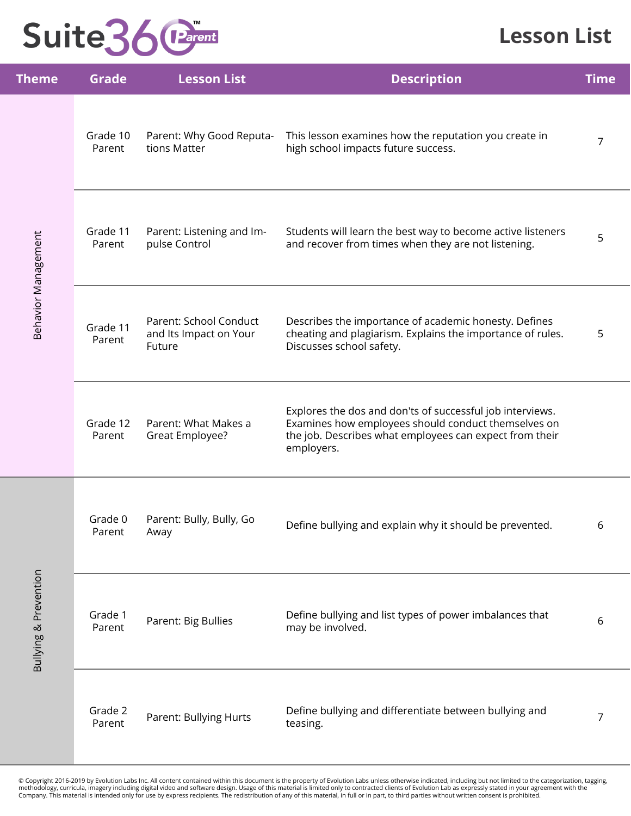### **Lesson List**

| <u>Theme</u>               | <b>Grade</b>       | <b>Lesson List</b>                                         | <b>Description</b>                                                                                                                                                                        | <b>Time</b> |
|----------------------------|--------------------|------------------------------------------------------------|-------------------------------------------------------------------------------------------------------------------------------------------------------------------------------------------|-------------|
| <b>Behavior Management</b> | Grade 10<br>Parent | Parent: Why Good Reputa-<br>tions Matter                   | This lesson examines how the reputation you create in<br>high school impacts future success.                                                                                              | 7           |
|                            | Grade 11<br>Parent | Parent: Listening and Im-<br>pulse Control                 | Students will learn the best way to become active listeners<br>and recover from times when they are not listening.                                                                        | 5           |
|                            | Grade 11<br>Parent | Parent: School Conduct<br>and Its Impact on Your<br>Future | Describes the importance of academic honesty. Defines<br>cheating and plagiarism. Explains the importance of rules.<br>Discusses school safety.                                           | 5           |
|                            | Grade 12<br>Parent | Parent: What Makes a<br>Great Employee?                    | Explores the dos and don'ts of successful job interviews.<br>Examines how employees should conduct themselves on<br>the job. Describes what employees can expect from their<br>employers. |             |
|                            | Grade 0<br>Parent  | Parent: Bully, Bully, Go<br>Away                           | Define bullying and explain why it should be prevented.                                                                                                                                   | 6           |
| Bullying & Prevention      | Grade 1<br>Parent  | Parent: Big Bullies                                        | Define bullying and list types of power imbalances that<br>may be involved.                                                                                                               | 6           |
|                            | Grade 2<br>Parent  | Parent: Bullying Hurts                                     | Define bullying and differentiate between bullying and<br>teasing.                                                                                                                        | 7           |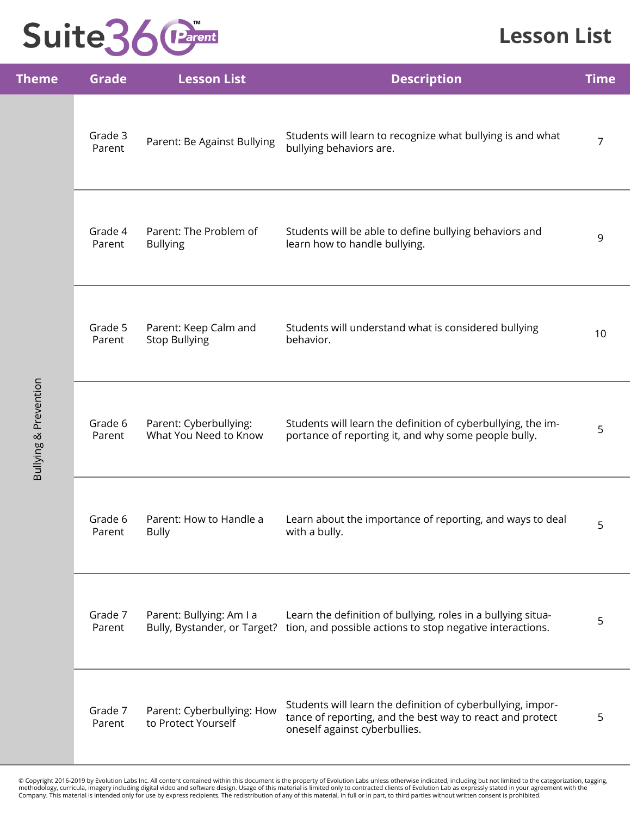### **Lesson List**

| <b>Theme</b>                     | <b>Grade</b>      | <b>Lesson List</b>                                       | <b>Description</b>                                                                                                                                        | <b>Time</b>    |
|----------------------------------|-------------------|----------------------------------------------------------|-----------------------------------------------------------------------------------------------------------------------------------------------------------|----------------|
|                                  | Grade 3<br>Parent | Parent: Be Against Bullying                              | Students will learn to recognize what bullying is and what<br>bullying behaviors are.                                                                     | $\overline{7}$ |
| <b>Bullying &amp; Prevention</b> | Grade 4<br>Parent | Parent: The Problem of<br><b>Bullying</b>                | Students will be able to define bullying behaviors and<br>learn how to handle bullying.                                                                   | 9              |
|                                  | Grade 5<br>Parent | Parent: Keep Calm and<br><b>Stop Bullying</b>            | Students will understand what is considered bullying<br>behavior.                                                                                         | 10             |
|                                  | Grade 6<br>Parent | Parent: Cyberbullying:<br>What You Need to Know          | Students will learn the definition of cyberbullying, the im-<br>portance of reporting it, and why some people bully.                                      | 5              |
|                                  | Grade 6<br>Parent | Parent: How to Handle a<br><b>Bully</b>                  | Learn about the importance of reporting, and ways to deal<br>with a bully.                                                                                | 5              |
|                                  | Grade 7<br>Parent | Parent: Bullying: Am I a<br>Bully, Bystander, or Target? | Learn the definition of bullying, roles in a bullying situa-<br>tion, and possible actions to stop negative interactions.                                 | 5              |
|                                  | Grade 7<br>Parent | Parent: Cyberbullying: How<br>to Protect Yourself        | Students will learn the definition of cyberbullying, impor-<br>tance of reporting, and the best way to react and protect<br>oneself against cyberbullies. | 5              |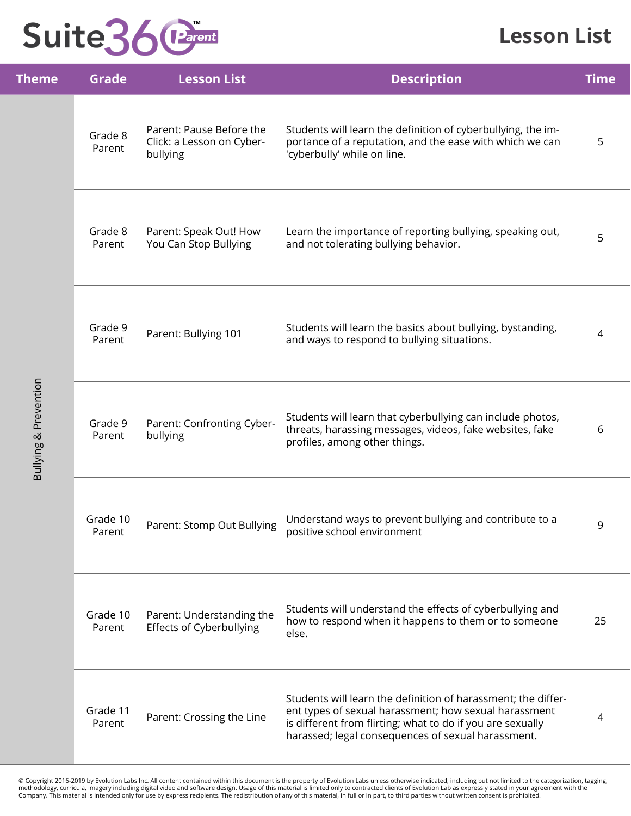

#### **Lesson List**

| <b>Theme</b>          | <b>Grade</b>       | <b>Lesson List</b>                                                | <b>Description</b>                                                                                                                                                                                                                         | <b>Time</b> |
|-----------------------|--------------------|-------------------------------------------------------------------|--------------------------------------------------------------------------------------------------------------------------------------------------------------------------------------------------------------------------------------------|-------------|
|                       | Grade 8<br>Parent  | Parent: Pause Before the<br>Click: a Lesson on Cyber-<br>bullying | Students will learn the definition of cyberbullying, the im-<br>portance of a reputation, and the ease with which we can<br>'cyberbully' while on line.                                                                                    | 5           |
|                       | Grade 8<br>Parent  | Parent: Speak Out! How<br>You Can Stop Bullying                   | Learn the importance of reporting bullying, speaking out,<br>and not tolerating bullying behavior.                                                                                                                                         | 5           |
| Bullying & Prevention | Grade 9<br>Parent  | Parent: Bullying 101                                              | Students will learn the basics about bullying, bystanding,<br>and ways to respond to bullying situations.                                                                                                                                  | 4           |
|                       | Grade 9<br>Parent  | Parent: Confronting Cyber-<br>bullying                            | Students will learn that cyberbullying can include photos,<br>threats, harassing messages, videos, fake websites, fake<br>profiles, among other things.                                                                                    | 6           |
|                       | Grade 10<br>Parent | Parent: Stomp Out Bullying                                        | Understand ways to prevent bullying and contribute to a<br>positive school environment                                                                                                                                                     | 9           |
|                       | Grade 10<br>Parent | Parent: Understanding the<br><b>Effects of Cyberbullying</b>      | Students will understand the effects of cyberbullying and<br>how to respond when it happens to them or to someone<br>else.                                                                                                                 | 25          |
|                       | Grade 11<br>Parent | Parent: Crossing the Line                                         | Students will learn the definition of harassment; the differ-<br>ent types of sexual harassment; how sexual harassment<br>is different from flirting; what to do if you are sexually<br>harassed; legal consequences of sexual harassment. | 4           |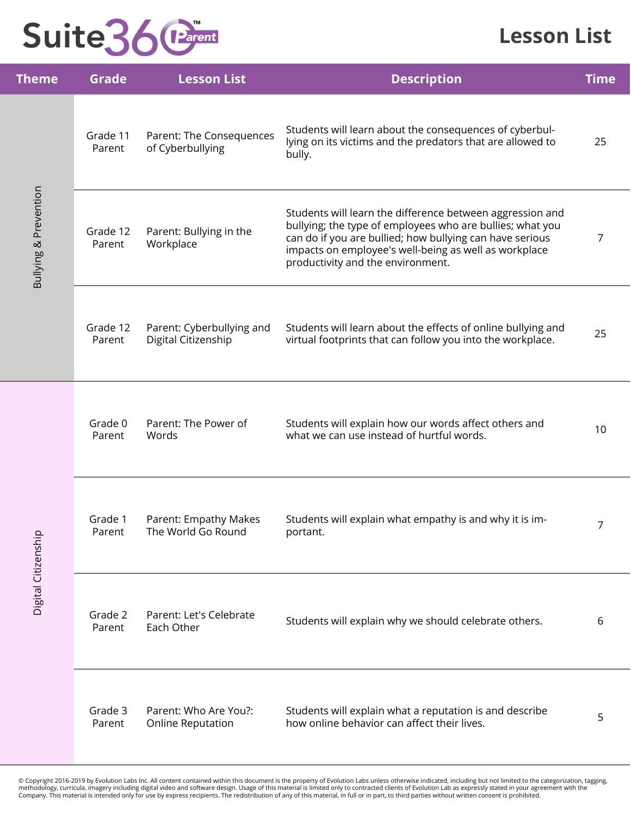#### **Lesson List**

| <b>Theme</b>                     | <b>Grade</b>       | <b>Lesson List</b>                               | <b>Description</b>                                                                                                                                                                                                                                                               | <b>Time</b> |
|----------------------------------|--------------------|--------------------------------------------------|----------------------------------------------------------------------------------------------------------------------------------------------------------------------------------------------------------------------------------------------------------------------------------|-------------|
|                                  | Grade 11<br>Parent | Parent: The Consequences<br>of Cyberbullying     | Students will learn about the consequences of cyberbul-<br>lying on its victims and the predators that are allowed to<br>bully.                                                                                                                                                  | 25          |
| <b>Bullying &amp; Prevention</b> | Grade 12<br>Parent | Parent: Bullying in the<br>Workplace             | Students will learn the difference between aggression and<br>bullying; the type of employees who are bullies; what you<br>can do if you are bullied; how bullying can have serious<br>impacts on employee's well-being as well as workplace<br>productivity and the environment. | 7           |
|                                  | Grade 12<br>Parent | Parent: Cyberbullying and<br>Digital Citizenship | Students will learn about the effects of online bullying and<br>virtual footprints that can follow you into the workplace.                                                                                                                                                       | 25          |
|                                  | Grade 0<br>Parent  | Parent: The Power of<br>Words                    | Students will explain how our words affect others and<br>what we can use instead of hurtful words.                                                                                                                                                                               | 10          |
|                                  | Grade 1<br>Parent  | Parent: Empathy Makes<br>The World Go Round      | Students will explain what empathy is and why it is im-<br>portant.                                                                                                                                                                                                              | 7           |
| Digital Citizenship              | Grade 2<br>Parent  | Parent: Let's Celebrate<br>Each Other            | Students will explain why we should celebrate others.                                                                                                                                                                                                                            | 6           |
|                                  | Grade 3<br>Parent  | Parent: Who Are You?:<br>Online Reputation       | Students will explain what a reputation is and describe<br>how online behavior can affect their lives.                                                                                                                                                                           | 5           |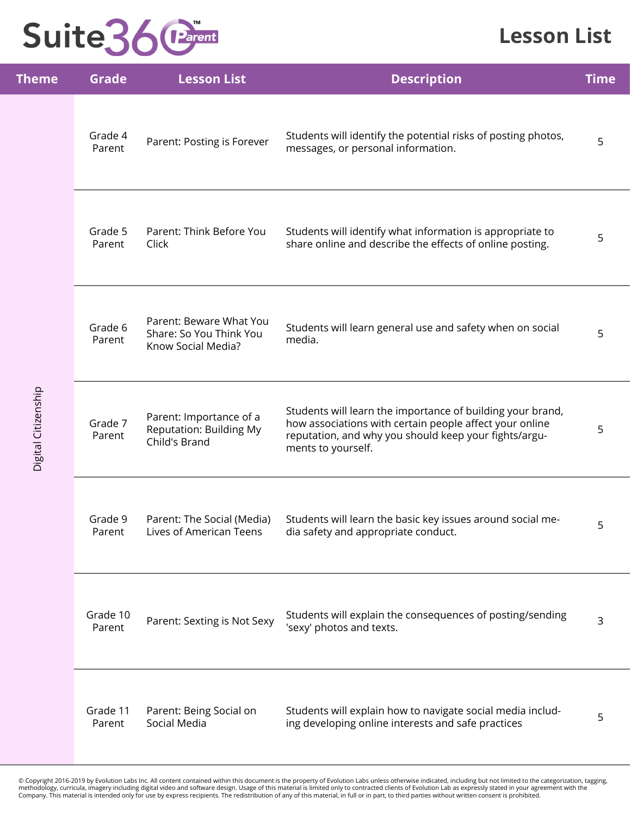### **Lesson List**

| <b>Theme</b>        | <b>Grade</b>       | <b>Lesson List</b>                                                         | <b>Description</b>                                                                                                                                                                                   | <b>Time</b> |
|---------------------|--------------------|----------------------------------------------------------------------------|------------------------------------------------------------------------------------------------------------------------------------------------------------------------------------------------------|-------------|
|                     | Grade 4<br>Parent  | Parent: Posting is Forever                                                 | Students will identify the potential risks of posting photos,<br>messages, or personal information.                                                                                                  | 5           |
|                     | Grade 5<br>Parent  | Parent: Think Before You<br>Click                                          | Students will identify what information is appropriate to<br>share online and describe the effects of online posting.                                                                                | 5           |
| Digital Citizenship | Grade 6<br>Parent  | Parent: Beware What You<br>Share: So You Think You<br>Know Social Media?   | Students will learn general use and safety when on social<br>media.                                                                                                                                  | 5           |
|                     | Grade 7<br>Parent  | Parent: Importance of a<br><b>Reputation: Building My</b><br>Child's Brand | Students will learn the importance of building your brand,<br>how associations with certain people affect your online<br>reputation, and why you should keep your fights/argu-<br>ments to yourself. | 5           |
|                     | Grade 9<br>Parent  | Parent: The Social (Media)<br>Lives of American Teens                      | Students will learn the basic key issues around social me-<br>dia safety and appropriate conduct.                                                                                                    | 5           |
|                     | Grade 10<br>Parent | Parent: Sexting is Not Sexy                                                | Students will explain the consequences of posting/sending<br>'sexy' photos and texts.                                                                                                                | 3           |
|                     | Grade 11<br>Parent | Parent: Being Social on<br>Social Media                                    | Students will explain how to navigate social media includ-<br>ing developing online interests and safe practices                                                                                     | 5           |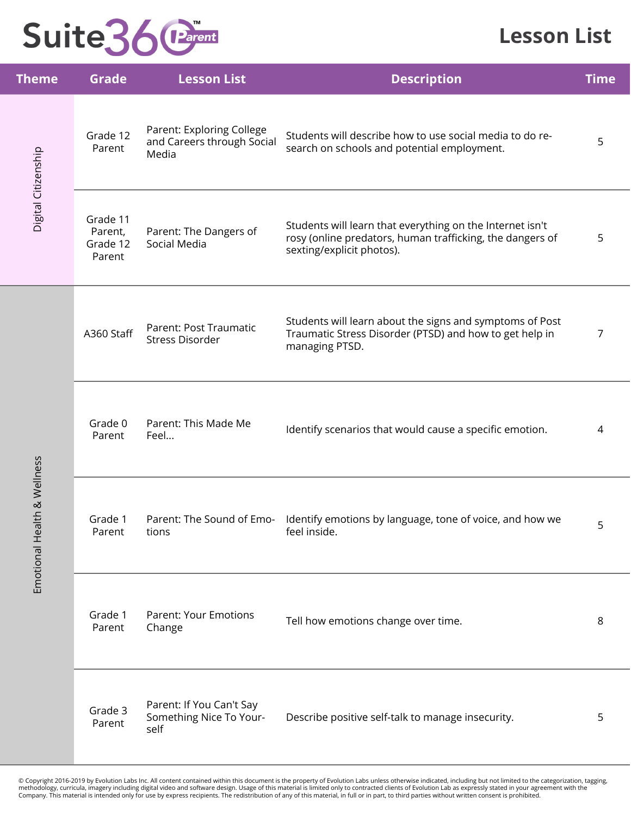### **Lesson List**

| <b>Theme</b>                | <b>Grade</b>                              | <b>Lesson List</b>                                               | <b>Description</b>                                                                                                                                  | <b>Time</b> |
|-----------------------------|-------------------------------------------|------------------------------------------------------------------|-----------------------------------------------------------------------------------------------------------------------------------------------------|-------------|
| Digital Citizenship         | Grade 12<br>Parent                        | Parent: Exploring College<br>and Careers through Social<br>Media | Students will describe how to use social media to do re-<br>search on schools and potential employment.                                             | 5           |
|                             | Grade 11<br>Parent,<br>Grade 12<br>Parent | Parent: The Dangers of<br>Social Media                           | Students will learn that everything on the Internet isn't<br>rosy (online predators, human trafficking, the dangers of<br>sexting/explicit photos). | 5           |
|                             | A360 Staff                                | Parent: Post Traumatic<br><b>Stress Disorder</b>                 | Students will learn about the signs and symptoms of Post<br>Traumatic Stress Disorder (PTSD) and how to get help in<br>managing PTSD.               | 7           |
|                             | Grade 0<br>Parent                         | Parent: This Made Me<br>Feel                                     | Identify scenarios that would cause a specific emotion.                                                                                             | 4           |
| Emotional Health & Wellness | Grade 1<br>Parent                         | tions                                                            | Parent: The Sound of Emo- Identify emotions by language, tone of voice, and how we<br>feel inside.                                                  | 5           |
|                             | Grade 1<br>Parent                         | <b>Parent: Your Emotions</b><br>Change                           | Tell how emotions change over time.                                                                                                                 | 8           |
|                             | Grade 3<br>Parent                         | Parent: If You Can't Say<br>Something Nice To Your-<br>self      | Describe positive self-talk to manage insecurity.                                                                                                   | 5           |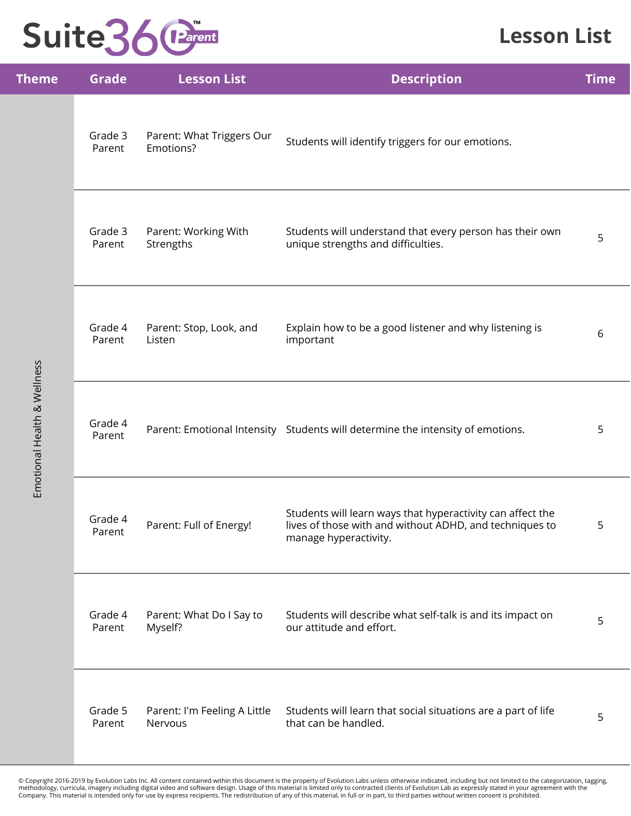#### **Lesson List**

| <b>Theme</b>                | <b>Grade</b>      | <b>Lesson List</b>                      | <b>Description</b>                                                                                                                             | <b>Time</b> |
|-----------------------------|-------------------|-----------------------------------------|------------------------------------------------------------------------------------------------------------------------------------------------|-------------|
|                             | Grade 3<br>Parent | Parent: What Triggers Our<br>Emotions?  | Students will identify triggers for our emotions.                                                                                              |             |
|                             | Grade 3<br>Parent | Parent: Working With<br>Strengths       | Students will understand that every person has their own<br>unique strengths and difficulties.                                                 | 5           |
| Emotional Health & Wellness | Grade 4<br>Parent | Parent: Stop, Look, and<br>Listen       | Explain how to be a good listener and why listening is<br>important                                                                            | 6           |
|                             | Grade 4<br>Parent |                                         | Parent: Emotional Intensity Students will determine the intensity of emotions.                                                                 | 5           |
|                             | Grade 4<br>Parent | Parent: Full of Energy!                 | Students will learn ways that hyperactivity can affect the<br>lives of those with and without ADHD, and techniques to<br>manage hyperactivity. | 5           |
|                             | Grade 4<br>Parent | Parent: What Do I Say to<br>Myself?     | Students will describe what self-talk is and its impact on<br>our attitude and effort.                                                         | 5           |
|                             | Grade 5<br>Parent | Parent: I'm Feeling A Little<br>Nervous | Students will learn that social situations are a part of life<br>that can be handled.                                                          | 5           |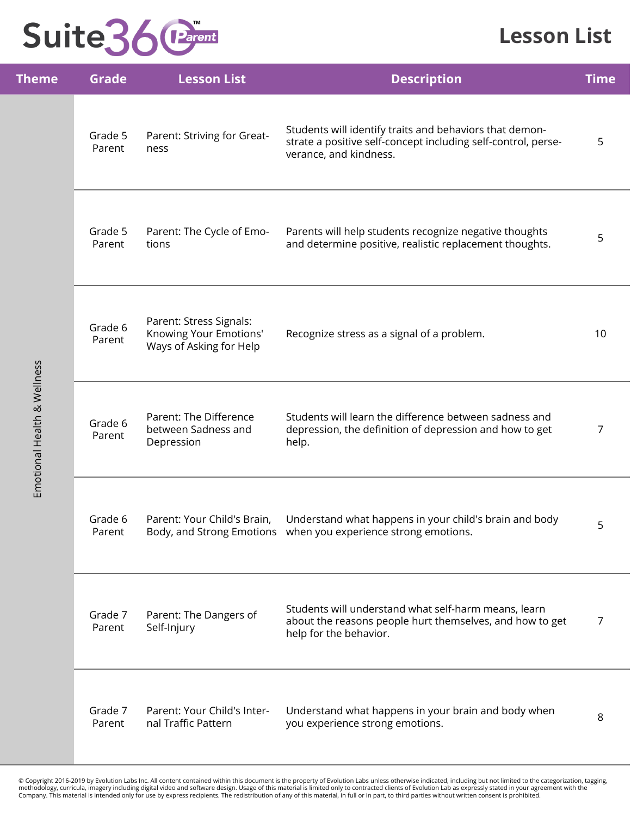### **Lesson List**

| <b>Theme</b>                | <b>Grade</b>      | <b>Lesson List</b>                                                           | <b>Description</b>                                                                                                                                 | <b>Time</b>    |
|-----------------------------|-------------------|------------------------------------------------------------------------------|----------------------------------------------------------------------------------------------------------------------------------------------------|----------------|
|                             | Grade 5<br>Parent | Parent: Striving for Great-<br>ness                                          | Students will identify traits and behaviors that demon-<br>strate a positive self-concept including self-control, perse-<br>verance, and kindness. | 5              |
|                             | Grade 5<br>Parent | Parent: The Cycle of Emo-<br>tions                                           | Parents will help students recognize negative thoughts<br>and determine positive, realistic replacement thoughts.                                  | 5              |
| Emotional Health & Wellness | Grade 6<br>Parent | Parent: Stress Signals:<br>Knowing Your Emotions'<br>Ways of Asking for Help | Recognize stress as a signal of a problem.                                                                                                         | 10             |
|                             | Grade 6<br>Parent | Parent: The Difference<br>between Sadness and<br>Depression                  | Students will learn the difference between sadness and<br>depression, the definition of depression and how to get<br>help.                         | $\overline{7}$ |
|                             | Grade 6<br>Parent | Parent: Your Child's Brain,                                                  | Understand what happens in your child's brain and body<br>Body, and Strong Emotions when you experience strong emotions.                           | 5              |
|                             | Grade 7<br>Parent | Parent: The Dangers of<br>Self-Injury                                        | Students will understand what self-harm means, learn<br>about the reasons people hurt themselves, and how to get<br>help for the behavior.         | $\overline{7}$ |
|                             | Grade 7<br>Parent | Parent: Your Child's Inter-<br>nal Traffic Pattern                           | Understand what happens in your brain and body when<br>you experience strong emotions.                                                             | 8              |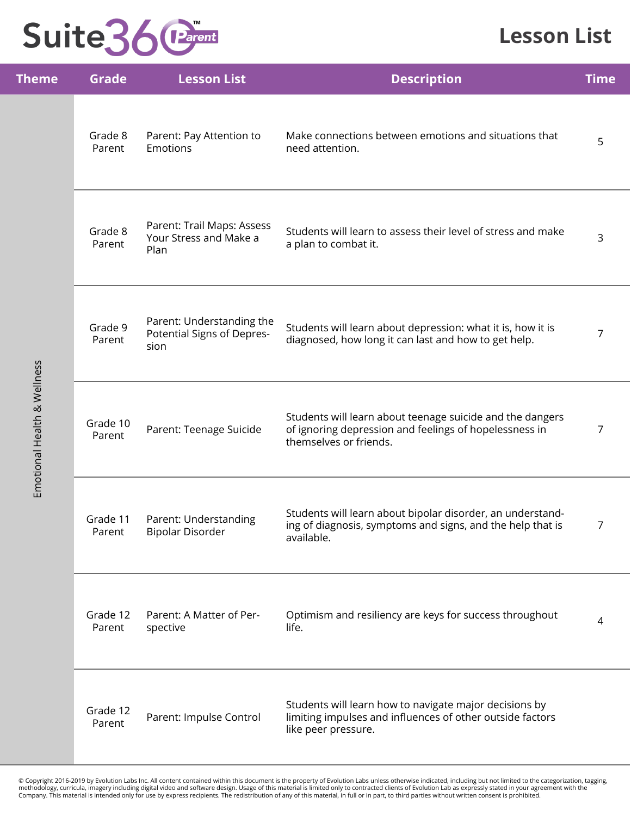### **Lesson List**

| <b>Theme</b>                | <b>Grade</b>       | <b>Lesson List</b>                                              | <b>Description</b>                                                                                                                            | <b>Time</b> |
|-----------------------------|--------------------|-----------------------------------------------------------------|-----------------------------------------------------------------------------------------------------------------------------------------------|-------------|
|                             | Grade 8<br>Parent  | Parent: Pay Attention to<br><b>Emotions</b>                     | Make connections between emotions and situations that<br>need attention.                                                                      | 5           |
| Emotional Health & Wellness | Grade 8<br>Parent  | Parent: Trail Maps: Assess<br>Your Stress and Make a<br>Plan    | Students will learn to assess their level of stress and make<br>a plan to combat it.                                                          | 3           |
|                             | Grade 9<br>Parent  | Parent: Understanding the<br>Potential Signs of Depres-<br>sion | Students will learn about depression: what it is, how it is<br>diagnosed, how long it can last and how to get help.                           | 7           |
|                             | Grade 10<br>Parent | Parent: Teenage Suicide                                         | Students will learn about teenage suicide and the dangers<br>of ignoring depression and feelings of hopelessness in<br>themselves or friends. | 7           |
|                             | Grade 11<br>Parent | Parent: Understanding<br>Bipolar Disorder                       | Students will learn about bipolar disorder, an understand-<br>ing of diagnosis, symptoms and signs, and the help that is<br>available.        | 7           |
|                             | Grade 12<br>Parent | Parent: A Matter of Per-<br>spective                            | Optimism and resiliency are keys for success throughout<br>life.                                                                              | 4           |
|                             | Grade 12<br>Parent | Parent: Impulse Control                                         | Students will learn how to navigate major decisions by<br>limiting impulses and influences of other outside factors<br>like peer pressure.    |             |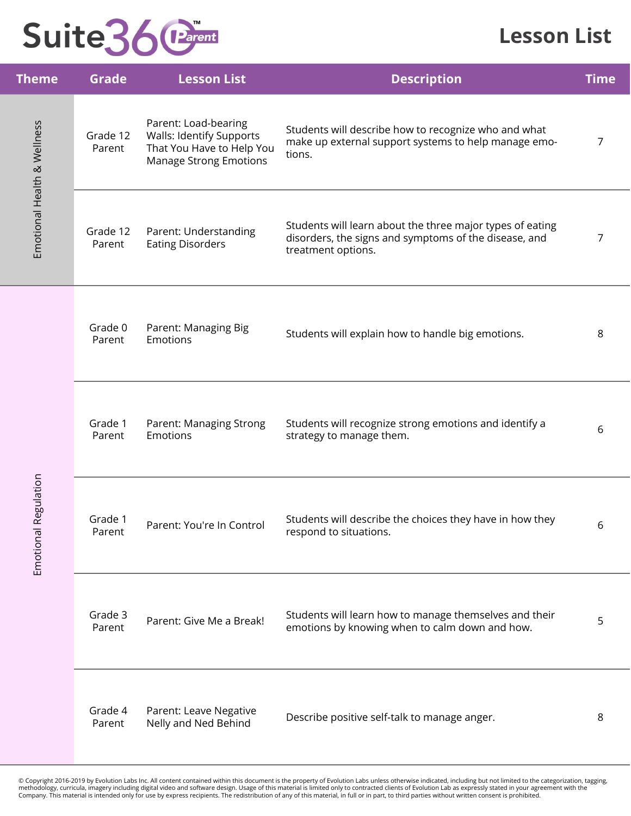#### **Lesson List**

|                                                                                                                                                                                                                             | <b>Grade</b>                                     | <b>Lesson List</b>                                                                                                                       | <b>Description</b>                                                                                                     | <b>Time</b> |
|-----------------------------------------------------------------------------------------------------------------------------------------------------------------------------------------------------------------------------|--------------------------------------------------|------------------------------------------------------------------------------------------------------------------------------------------|------------------------------------------------------------------------------------------------------------------------|-------------|
| <b>Theme</b><br>Emotional Health & Wellness<br>Grade 12<br>Parent<br>Grade 12<br>Parent<br>Grade 0<br>Parent<br>Grade 1<br>Parent<br>Regulation<br>Grade 1<br>Emotional<br>Parent<br>Grade 3<br>Parent<br>Grade 4<br>Parent |                                                  | Parent: Load-bearing<br><b>Walls: Identify Supports</b><br>That You Have to Help You<br><b>Manage Strong Emotions</b>                    | Students will describe how to recognize who and what<br>make up external support systems to help manage emo-<br>tions. | 7           |
|                                                                                                                                                                                                                             | Parent: Understanding<br><b>Eating Disorders</b> | Students will learn about the three major types of eating<br>disorders, the signs and symptoms of the disease, and<br>treatment options. | 7                                                                                                                      |             |
|                                                                                                                                                                                                                             |                                                  | Parent: Managing Big<br>Emotions                                                                                                         | Students will explain how to handle big emotions.                                                                      | 8           |
|                                                                                                                                                                                                                             |                                                  | Parent: Managing Strong<br><b>Emotions</b>                                                                                               | Students will recognize strong emotions and identify a<br>strategy to manage them.                                     | 6           |
|                                                                                                                                                                                                                             |                                                  | Parent: You're In Control                                                                                                                | Students will describe the choices they have in how they<br>respond to situations.                                     | 6           |
|                                                                                                                                                                                                                             |                                                  | Parent: Give Me a Break!                                                                                                                 | Students will learn how to manage themselves and their<br>emotions by knowing when to calm down and how.               | 5           |
|                                                                                                                                                                                                                             |                                                  | Parent: Leave Negative<br>Nelly and Ned Behind                                                                                           | Describe positive self-talk to manage anger.                                                                           | 8           |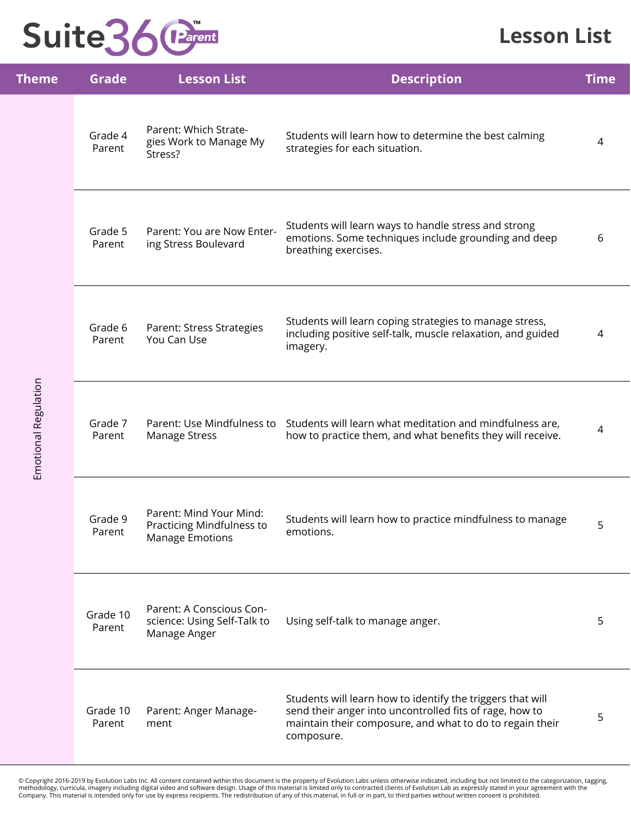#### **Lesson List**

| Theme                | <b>Grade</b>       | <b>Lesson List</b>                                                             | <b>Description</b>                                                                                                                                                                              | <b>Time</b> |
|----------------------|--------------------|--------------------------------------------------------------------------------|-------------------------------------------------------------------------------------------------------------------------------------------------------------------------------------------------|-------------|
|                      | Grade 4<br>Parent  | Parent: Which Strate-<br>gies Work to Manage My<br>Stress?                     | Students will learn how to determine the best calming<br>strategies for each situation.                                                                                                         | 4           |
|                      | Grade 5<br>Parent  | Parent: You are Now Enter-<br>ing Stress Boulevard                             | Students will learn ways to handle stress and strong<br>emotions. Some techniques include grounding and deep<br>breathing exercises.                                                            | 6           |
|                      | Grade 6<br>Parent  | Parent: Stress Strategies<br>You Can Use                                       | Students will learn coping strategies to manage stress,<br>including positive self-talk, muscle relaxation, and guided<br>imagery.                                                              | 4           |
|                      | Grade 7<br>Parent  | <b>Manage Stress</b>                                                           | Parent: Use Mindfulness to Students will learn what meditation and mindfulness are,<br>how to practice them, and what benefits they will receive.                                               | 4           |
|                      | Grade 9<br>Parent  | Parent: Mind Your Mind:<br>Practicing Mindfulness to<br><b>Manage Emotions</b> | Students will learn how to practice mindfulness to manage<br>emotions.                                                                                                                          | 5           |
| Emotional Regulation | Grade 10<br>Parent | Parent: A Conscious Con-<br>science: Using Self-Talk to<br>Manage Anger        | Using self-talk to manage anger.                                                                                                                                                                | 5           |
|                      | Grade 10<br>Parent | Parent: Anger Manage-<br>ment                                                  | Students will learn how to identify the triggers that will<br>send their anger into uncontrolled fits of rage, how to<br>maintain their composure, and what to do to regain their<br>composure. | 5           |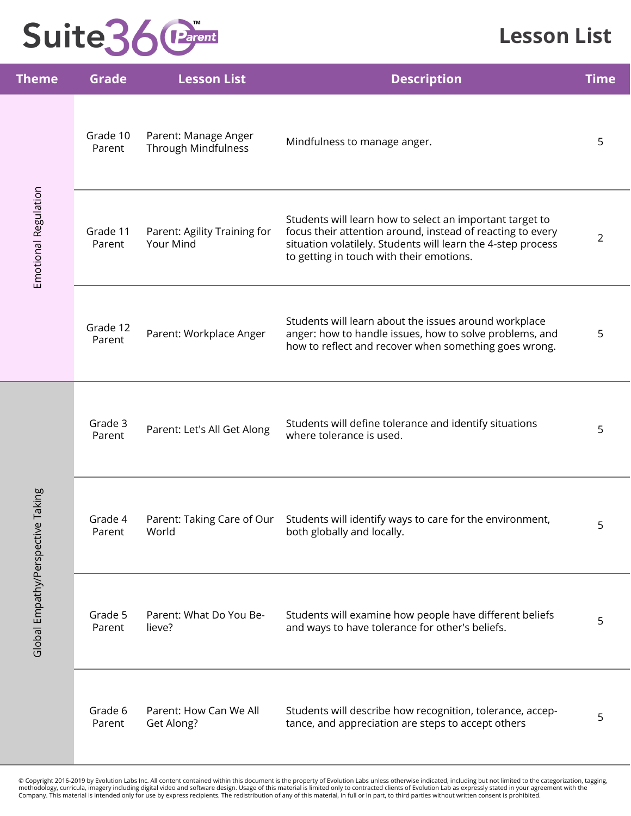### **Lesson List**

| <b>Theme</b>               | <b>Grade</b>       | <b>Lesson List</b>                                 | <b>Description</b>                                                                                                                                                                                                                 | <b>Time</b>    |
|----------------------------|--------------------|----------------------------------------------------|------------------------------------------------------------------------------------------------------------------------------------------------------------------------------------------------------------------------------------|----------------|
|                            | Grade 10<br>Parent | Parent: Manage Anger<br><b>Through Mindfulness</b> | Mindfulness to manage anger.                                                                                                                                                                                                       | 5              |
| Emotional Regulation       | Grade 11<br>Parent | Parent: Agility Training for<br>Your Mind          | Students will learn how to select an important target to<br>focus their attention around, instead of reacting to every<br>situation volatilely. Students will learn the 4-step process<br>to getting in touch with their emotions. | $\overline{2}$ |
|                            | Grade 12<br>Parent | Parent: Workplace Anger                            | Students will learn about the issues around workplace<br>anger: how to handle issues, how to solve problems, and<br>how to reflect and recover when something goes wrong.                                                          | 5              |
|                            | Grade 3<br>Parent  | Parent: Let's All Get Along                        | Students will define tolerance and identify situations<br>where tolerance is used.                                                                                                                                                 | 5              |
| Taking                     | Grade 4<br>Parent  | World                                              | Parent: Taking Care of Our Students will identify ways to care for the environment,<br>both globally and locally.                                                                                                                  | 5              |
| Global Empathy/Perspective | Grade 5<br>Parent  | Parent: What Do You Be-<br>lieve?                  | Students will examine how people have different beliefs<br>and ways to have tolerance for other's beliefs.                                                                                                                         | 5              |
|                            | Grade 6<br>Parent  | Parent: How Can We All<br>Get Along?               | Students will describe how recognition, tolerance, accep-<br>tance, and appreciation are steps to accept others                                                                                                                    | 5              |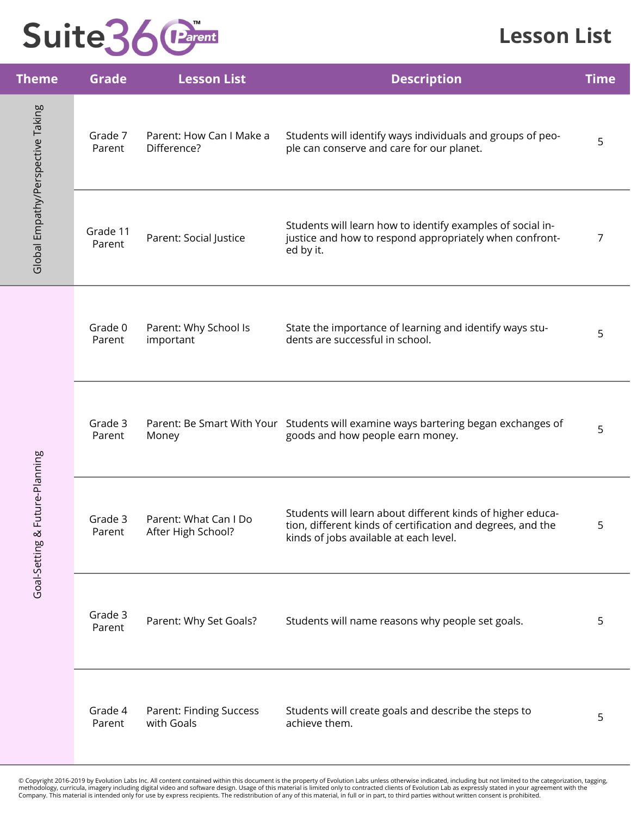#### **Lesson List**

| <b>Theme</b>                      | <b>Grade</b>       | <b>Lesson List</b>                           | <b>Description</b>                                                                                                                                                  | <b>Time</b> |
|-----------------------------------|--------------------|----------------------------------------------|---------------------------------------------------------------------------------------------------------------------------------------------------------------------|-------------|
| Global Empathy/Perspective Taking | Grade 7<br>Parent  | Parent: How Can I Make a<br>Difference?      | Students will identify ways individuals and groups of peo-<br>ple can conserve and care for our planet.                                                             | 5           |
|                                   | Grade 11<br>Parent | Parent: Social Justice                       | Students will learn how to identify examples of social in-<br>justice and how to respond appropriately when confront-<br>ed by it.                                  | 7           |
|                                   | Grade 0<br>Parent  | Parent: Why School Is<br>important           | State the importance of learning and identify ways stu-<br>dents are successful in school.                                                                          | 5           |
|                                   | Grade 3<br>Parent  | Money                                        | Parent: Be Smart With Your Students will examine ways bartering began exchanges of<br>goods and how people earn money.                                              | 5           |
| Future-Planning<br>Goal-Setting & | Grade 3<br>Parent  | Parent: What Can I Do<br>After High School?  | Students will learn about different kinds of higher educa-<br>tion, different kinds of certification and degrees, and the<br>kinds of jobs available at each level. | 5           |
|                                   | Grade 3<br>Parent  | Parent: Why Set Goals?                       | Students will name reasons why people set goals.                                                                                                                    | 5           |
|                                   | Grade 4<br>Parent  | <b>Parent: Finding Success</b><br>with Goals | Students will create goals and describe the steps to<br>achieve them.                                                                                               | 5           |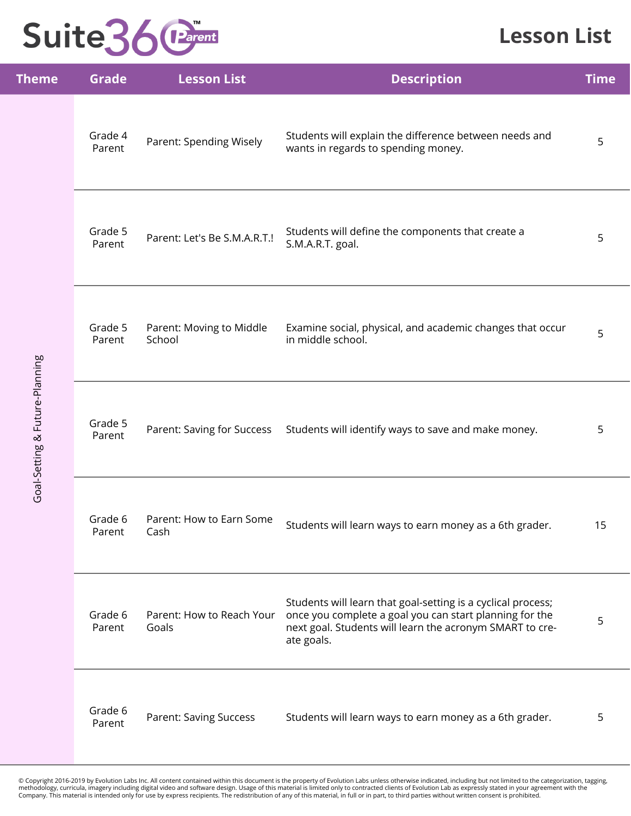### **Lesson List**

| <b>Theme</b>                   | <b>Grade</b>      | <b>Lesson List</b>                 | <b>Description</b>                                                                                                                                                                                | <b>Time</b> |
|--------------------------------|-------------------|------------------------------------|---------------------------------------------------------------------------------------------------------------------------------------------------------------------------------------------------|-------------|
|                                | Grade 4<br>Parent | Parent: Spending Wisely            | Students will explain the difference between needs and<br>wants in regards to spending money.                                                                                                     | 5           |
| Goal-Setting & Future-Planning | Grade 5<br>Parent | Parent: Let's Be S.M.A.R.T.!       | Students will define the components that create a<br>S.M.A.R.T. goal.                                                                                                                             | 5           |
|                                | Grade 5<br>Parent | Parent: Moving to Middle<br>School | Examine social, physical, and academic changes that occur<br>in middle school.                                                                                                                    | 5           |
|                                | Grade 5<br>Parent | Parent: Saving for Success         | Students will identify ways to save and make money.                                                                                                                                               | 5           |
|                                | Grade 6<br>Parent | Parent: How to Earn Some<br>Cash   | Students will learn ways to earn money as a 6th grader.                                                                                                                                           | 15          |
|                                | Grade 6<br>Parent | Parent: How to Reach Your<br>Goals | Students will learn that goal-setting is a cyclical process;<br>once you complete a goal you can start planning for the<br>next goal. Students will learn the acronym SMART to cre-<br>ate goals. | 5           |
|                                | Grade 6<br>Parent | <b>Parent: Saving Success</b>      | Students will learn ways to earn money as a 6th grader.                                                                                                                                           | 5           |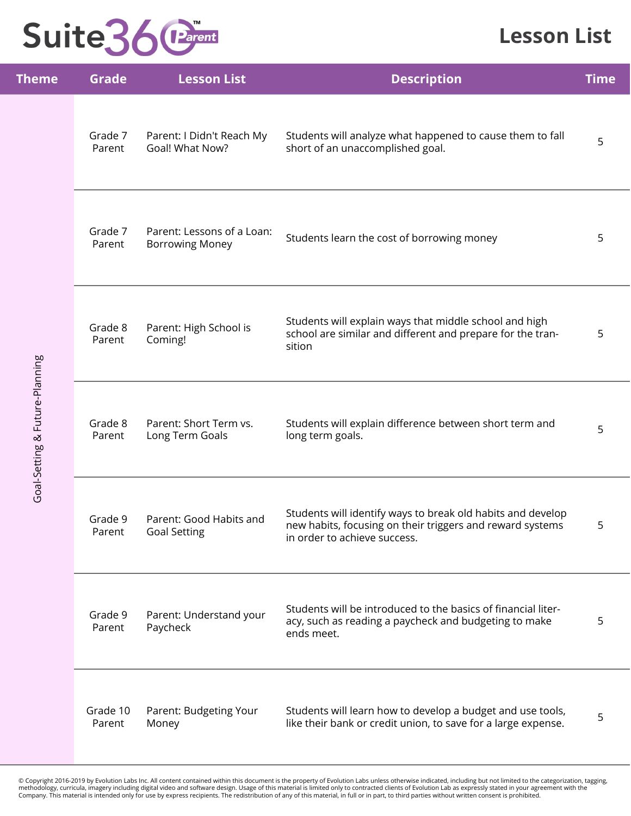### **Lesson List**

| Theme                          | <b>Grade</b>       | <b>Lesson List</b>                                   | <b>Description</b>                                                                                                                                       | <b>Time</b> |
|--------------------------------|--------------------|------------------------------------------------------|----------------------------------------------------------------------------------------------------------------------------------------------------------|-------------|
|                                | Grade 7<br>Parent  | Parent: I Didn't Reach My<br>Goal! What Now?         | Students will analyze what happened to cause them to fall<br>short of an unaccomplished goal.                                                            | 5           |
|                                | Grade 7<br>Parent  | Parent: Lessons of a Loan:<br><b>Borrowing Money</b> | Students learn the cost of borrowing money                                                                                                               | 5           |
|                                | Grade 8<br>Parent  | Parent: High School is<br>Coming!                    | Students will explain ways that middle school and high<br>school are similar and different and prepare for the tran-<br>sition                           | 5           |
| Goal-Setting & Future-Planning | Grade 8<br>Parent  | Parent: Short Term vs.<br>Long Term Goals            | Students will explain difference between short term and<br>long term goals.                                                                              | 5           |
|                                | Grade 9<br>Parent  | Parent: Good Habits and<br><b>Goal Setting</b>       | Students will identify ways to break old habits and develop<br>new habits, focusing on their triggers and reward systems<br>in order to achieve success. | 5           |
|                                | Grade 9<br>Parent  | Parent: Understand your<br>Paycheck                  | Students will be introduced to the basics of financial liter-<br>acy, such as reading a paycheck and budgeting to make<br>ends meet.                     | 5           |
|                                | Grade 10<br>Parent | Parent: Budgeting Your<br>Money                      | Students will learn how to develop a budget and use tools,<br>like their bank or credit union, to save for a large expense.                              | 5           |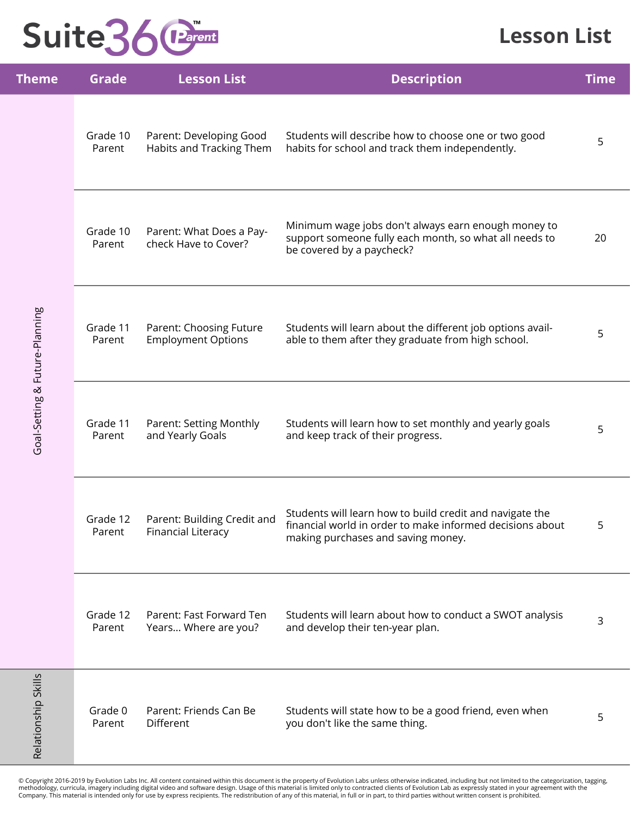#### **Lesson List**

| Theme                          | <b>Grade</b>       | <b>Lesson List</b>                                       | <b>Description</b>                                                                                                                                          | <b>Time</b> |
|--------------------------------|--------------------|----------------------------------------------------------|-------------------------------------------------------------------------------------------------------------------------------------------------------------|-------------|
| Goal-Setting & Future-Planning | Grade 10<br>Parent | Parent: Developing Good<br>Habits and Tracking Them      | Students will describe how to choose one or two good<br>habits for school and track them independently.                                                     | 5           |
|                                | Grade 10<br>Parent | Parent: What Does a Pay-<br>check Have to Cover?         | Minimum wage jobs don't always earn enough money to<br>support someone fully each month, so what all needs to<br>be covered by a paycheck?                  | 20          |
|                                | Grade 11<br>Parent | Parent: Choosing Future<br><b>Employment Options</b>     | Students will learn about the different job options avail-<br>able to them after they graduate from high school.                                            | 5           |
|                                | Grade 11<br>Parent | Parent: Setting Monthly<br>and Yearly Goals              | Students will learn how to set monthly and yearly goals<br>and keep track of their progress.                                                                | 5           |
|                                | Grade 12<br>Parent | Parent: Building Credit and<br><b>Financial Literacy</b> | Students will learn how to build credit and navigate the<br>financial world in order to make informed decisions about<br>making purchases and saving money. | 5           |
|                                | Grade 12<br>Parent | Parent: Fast Forward Ten<br>Years Where are you?         | Students will learn about how to conduct a SWOT analysis<br>and develop their ten-year plan.                                                                | 3           |
| Relationship Skills            | Grade 0<br>Parent  | Parent: Friends Can Be<br>Different                      | Students will state how to be a good friend, even when<br>you don't like the same thing.                                                                    | 5           |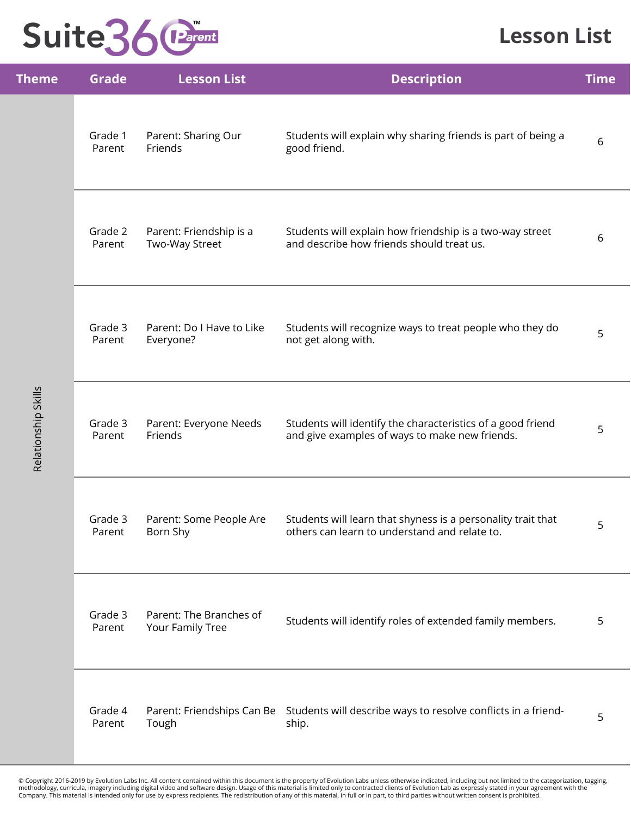### **Lesson List**

| <b>Theme</b>        | <b>Grade</b>      | <b>Lesson List</b>                          | <b>Description</b>                                                                                            | <b>Time</b> |
|---------------------|-------------------|---------------------------------------------|---------------------------------------------------------------------------------------------------------------|-------------|
| Relationship Skills | Grade 1<br>Parent | Parent: Sharing Our<br>Friends              | Students will explain why sharing friends is part of being a<br>good friend.                                  | 6           |
|                     | Grade 2<br>Parent | Parent: Friendship is a<br>Two-Way Street   | Students will explain how friendship is a two-way street<br>and describe how friends should treat us.         | 6           |
|                     | Grade 3<br>Parent | Parent: Do I Have to Like<br>Everyone?      | Students will recognize ways to treat people who they do<br>not get along with.                               | 5           |
|                     | Grade 3<br>Parent | Parent: Everyone Needs<br>Friends           | Students will identify the characteristics of a good friend<br>and give examples of ways to make new friends. | 5           |
|                     | Grade 3<br>Parent | Parent: Some People Are<br>Born Shy         | Students will learn that shyness is a personality trait that<br>others can learn to understand and relate to. | 5           |
|                     | Grade 3<br>Parent | Parent: The Branches of<br>Your Family Tree | Students will identify roles of extended family members.                                                      | 5           |
|                     | Grade 4<br>Parent | Tough                                       | Parent: Friendships Can Be Students will describe ways to resolve conflicts in a friend-<br>ship.             | 5           |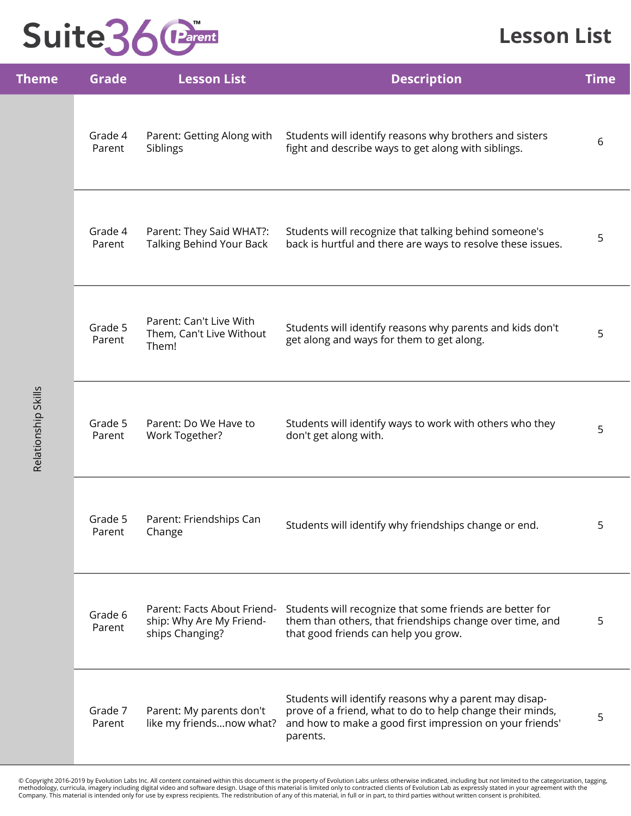### **Lesson List**

| <b>Theme</b>        | <b>Grade</b>      | <b>Lesson List</b>                                                         | <b>Description</b>                                                                                                                                                                          | <b>Time</b> |
|---------------------|-------------------|----------------------------------------------------------------------------|---------------------------------------------------------------------------------------------------------------------------------------------------------------------------------------------|-------------|
| Relationship Skills | Grade 4<br>Parent | Parent: Getting Along with<br>Siblings                                     | Students will identify reasons why brothers and sisters<br>fight and describe ways to get along with siblings.                                                                              | 6           |
|                     | Grade 4<br>Parent | Parent: They Said WHAT?:<br><b>Talking Behind Your Back</b>                | Students will recognize that talking behind someone's<br>back is hurtful and there are ways to resolve these issues.                                                                        | 5           |
|                     | Grade 5<br>Parent | Parent: Can't Live With<br>Them, Can't Live Without<br>Them!               | Students will identify reasons why parents and kids don't<br>get along and ways for them to get along.                                                                                      | 5           |
|                     | Grade 5<br>Parent | Parent: Do We Have to<br>Work Together?                                    | Students will identify ways to work with others who they<br>don't get along with.                                                                                                           | 5           |
|                     | Grade 5<br>Parent | Parent: Friendships Can<br>Change                                          | Students will identify why friendships change or end.                                                                                                                                       |             |
|                     | Grade 6<br>Parent | Parent: Facts About Friend-<br>ship: Why Are My Friend-<br>ships Changing? | Students will recognize that some friends are better for<br>them than others, that friendships change over time, and<br>that good friends can help you grow.                                | 5           |
|                     | Grade 7<br>Parent | Parent: My parents don't<br>like my friendsnow what?                       | Students will identify reasons why a parent may disap-<br>prove of a friend, what to do to help change their minds,<br>and how to make a good first impression on your friends'<br>parents. | 5           |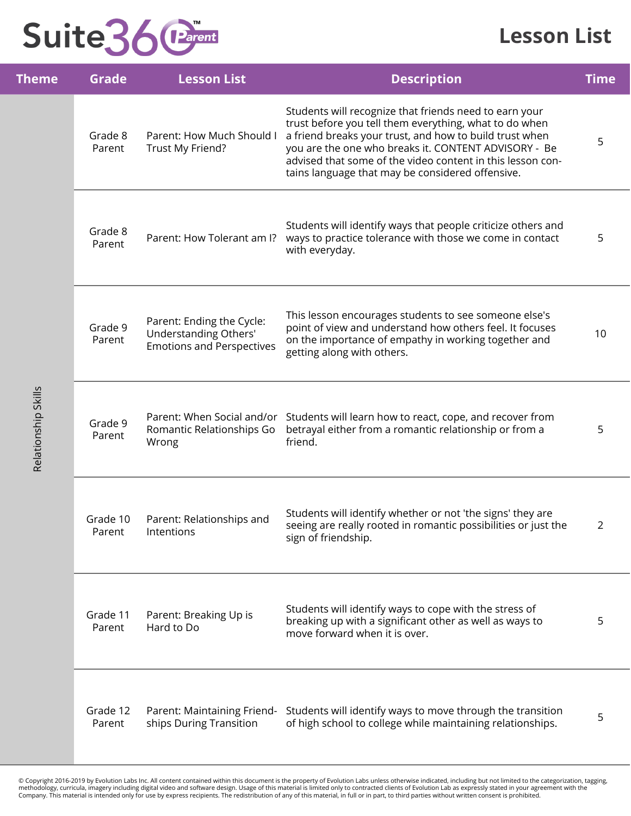### **Lesson List**

| Theme               | <b>Grade</b>       | <b>Lesson List</b>                                                                     | <b>Description</b>                                                                                                                                                                                                                                                                                                                                    | <b>Time</b> |
|---------------------|--------------------|----------------------------------------------------------------------------------------|-------------------------------------------------------------------------------------------------------------------------------------------------------------------------------------------------------------------------------------------------------------------------------------------------------------------------------------------------------|-------------|
|                     | Grade 8<br>Parent  | Parent: How Much Should I<br>Trust My Friend?                                          | Students will recognize that friends need to earn your<br>trust before you tell them everything, what to do when<br>a friend breaks your trust, and how to build trust when<br>you are the one who breaks it. CONTENT ADVISORY - Be<br>advised that some of the video content in this lesson con-<br>tains language that may be considered offensive. | 5           |
|                     | Grade 8<br>Parent  | Parent: How Tolerant am I?                                                             | Students will identify ways that people criticize others and<br>ways to practice tolerance with those we come in contact<br>with everyday.                                                                                                                                                                                                            | 5           |
|                     | Grade 9<br>Parent  | Parent: Ending the Cycle:<br>Understanding Others'<br><b>Emotions and Perspectives</b> | This lesson encourages students to see someone else's<br>point of view and understand how others feel. It focuses<br>on the importance of empathy in working together and<br>getting along with others.                                                                                                                                               | 10          |
| Relationship Skills | Grade 9<br>Parent  | Romantic Relationships Go<br>Wrong                                                     | Parent: When Social and/or Students will learn how to react, cope, and recover from<br>betrayal either from a romantic relationship or from a<br>friend.                                                                                                                                                                                              | 5           |
|                     | Grade 10<br>Parent | Parent: Relationships and<br>Intentions                                                | Students will identify whether or not 'the signs' they are<br>seeing are really rooted in romantic possibilities or just the<br>sign of friendship.                                                                                                                                                                                                   |             |
|                     | Grade 11<br>Parent | Parent: Breaking Up is<br>Hard to Do                                                   | Students will identify ways to cope with the stress of<br>breaking up with a significant other as well as ways to<br>move forward when it is over.                                                                                                                                                                                                    | 5           |
|                     | Grade 12<br>Parent | Parent: Maintaining Friend-<br>ships During Transition                                 | Students will identify ways to move through the transition<br>of high school to college while maintaining relationships.                                                                                                                                                                                                                              | 5           |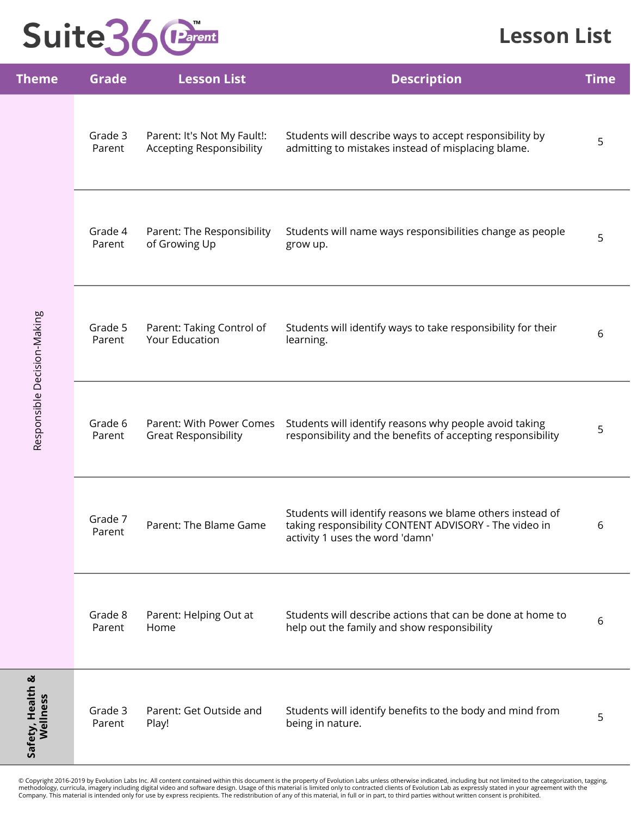#### **Lesson List**

| <b>Theme</b>                 | <b>Grade</b>      | <b>Lesson List</b>                                             | <b>Description</b>                                                                                                                                    | <b>Time</b> |
|------------------------------|-------------------|----------------------------------------------------------------|-------------------------------------------------------------------------------------------------------------------------------------------------------|-------------|
| Responsible Decision-Making  | Grade 3<br>Parent | Parent: It's Not My Fault!:<br><b>Accepting Responsibility</b> | Students will describe ways to accept responsibility by<br>admitting to mistakes instead of misplacing blame.                                         | 5           |
|                              | Grade 4<br>Parent | Parent: The Responsibility<br>of Growing Up                    | Students will name ways responsibilities change as people<br>grow up.                                                                                 | 5           |
|                              | Grade 5<br>Parent | Parent: Taking Control of<br>Your Education                    | Students will identify ways to take responsibility for their<br>learning.                                                                             | 6           |
|                              | Grade 6<br>Parent | Parent: With Power Comes<br><b>Great Responsibility</b>        | Students will identify reasons why people avoid taking<br>responsibility and the benefits of accepting responsibility                                 | 5           |
|                              | Grade 7<br>Parent | Parent: The Blame Game                                         | Students will identify reasons we blame others instead of<br>taking responsibility CONTENT ADVISORY - The video in<br>activity 1 uses the word 'damn' | 6           |
|                              | Grade 8<br>Parent | Parent: Helping Out at<br>Home                                 | Students will describe actions that can be done at home to<br>help out the family and show responsibility                                             | 6           |
| Safety, Health &<br>Wellness | Grade 3<br>Parent | Parent: Get Outside and<br>Play!                               | Students will identify benefits to the body and mind from<br>being in nature.                                                                         | 5           |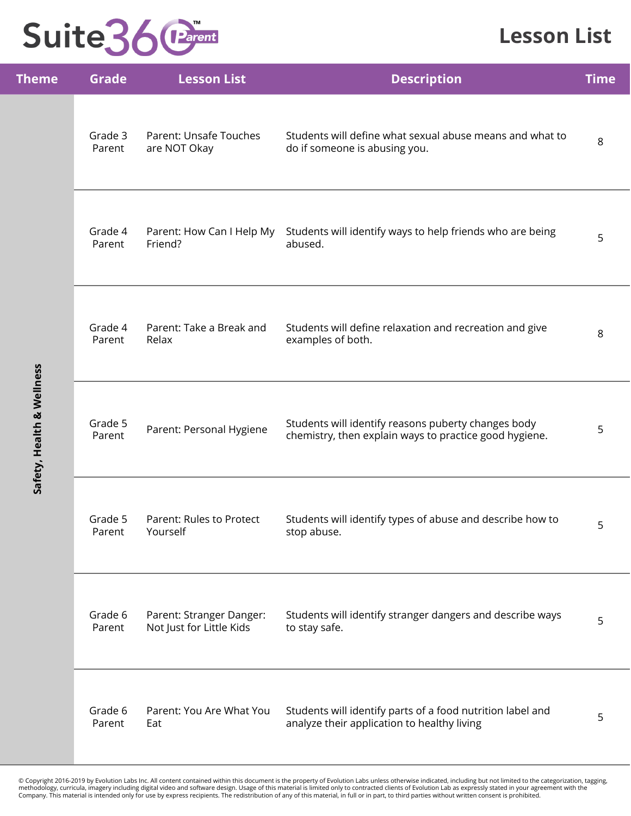#### **Lesson List**

| <b>Theme</b>              | <b>Grade</b>      | <b>Lesson List</b>                                   | <b>Description</b>                                                                                            | <b>Time</b> |
|---------------------------|-------------------|------------------------------------------------------|---------------------------------------------------------------------------------------------------------------|-------------|
| Safety, Health & Wellness | Grade 3<br>Parent | Parent: Unsafe Touches<br>are NOT Okay               | Students will define what sexual abuse means and what to<br>do if someone is abusing you.                     | $\,8\,$     |
|                           | Grade 4<br>Parent | Parent: How Can I Help My<br>Friend?                 | Students will identify ways to help friends who are being<br>abused.                                          | 5           |
|                           | Grade 4<br>Parent | Parent: Take a Break and<br>Relax                    | Students will define relaxation and recreation and give<br>examples of both.                                  | 8           |
|                           | Grade 5<br>Parent | Parent: Personal Hygiene                             | Students will identify reasons puberty changes body<br>chemistry, then explain ways to practice good hygiene. | 5           |
|                           | Grade 5<br>Parent | Parent: Rules to Protect<br>Yourself                 | Students will identify types of abuse and describe how to<br>stop abuse.                                      | 5           |
|                           | Grade 6<br>Parent | Parent: Stranger Danger:<br>Not Just for Little Kids | Students will identify stranger dangers and describe ways<br>to stay safe.                                    | 5           |
|                           | Grade 6<br>Parent | Parent: You Are What You<br>Eat                      | Students will identify parts of a food nutrition label and<br>analyze their application to healthy living     | 5           |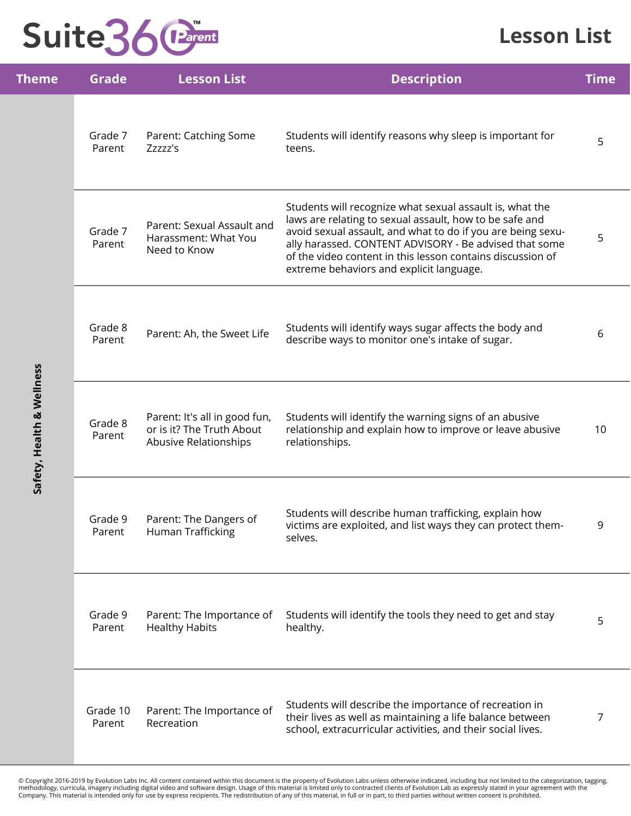#### **Lesson List**

| <b>Theme</b>              | <b>Grade</b>       | <b>Lesson List</b>                                                                  | <b>Description</b>                                                                                                                                                                                                                                                                                                                                     | <b>Time</b> |
|---------------------------|--------------------|-------------------------------------------------------------------------------------|--------------------------------------------------------------------------------------------------------------------------------------------------------------------------------------------------------------------------------------------------------------------------------------------------------------------------------------------------------|-------------|
| Safety, Health & Wellness | Grade 7<br>Parent  | Parent: Catching Some<br>Zzzzz's                                                    | Students will identify reasons why sleep is important for<br>teens.                                                                                                                                                                                                                                                                                    | 5           |
|                           | Grade 7<br>Parent  | Parent: Sexual Assault and<br>Harassment: What You<br>Need to Know                  | Students will recognize what sexual assault is, what the<br>laws are relating to sexual assault, how to be safe and<br>avoid sexual assault, and what to do if you are being sexu-<br>ally harassed. CONTENT ADVISORY - Be advised that some<br>of the video content in this lesson contains discussion of<br>extreme behaviors and explicit language. | 5           |
|                           | Grade 8<br>Parent  | Parent: Ah, the Sweet Life                                                          | Students will identify ways sugar affects the body and<br>describe ways to monitor one's intake of sugar.                                                                                                                                                                                                                                              | 6           |
|                           | Grade 8<br>Parent  | Parent: It's all in good fun,<br>or is it? The Truth About<br>Abusive Relationships | Students will identify the warning signs of an abusive<br>relationship and explain how to improve or leave abusive<br>relationships.                                                                                                                                                                                                                   | 10          |
|                           | Grade 9<br>Parent  | Parent: The Dangers of<br>Human Trafficking                                         | Students will describe human trafficking, explain how<br>victims are exploited, and list ways they can protect them-<br>selves.                                                                                                                                                                                                                        | 9           |
|                           | Grade 9<br>Parent  | Parent: The Importance of<br><b>Healthy Habits</b>                                  | Students will identify the tools they need to get and stay<br>healthy.                                                                                                                                                                                                                                                                                 | 5           |
|                           | Grade 10<br>Parent | Parent: The Importance of<br>Recreation                                             | Students will describe the importance of recreation in<br>their lives as well as maintaining a life balance between<br>school, extracurricular activities, and their social lives.                                                                                                                                                                     | 7           |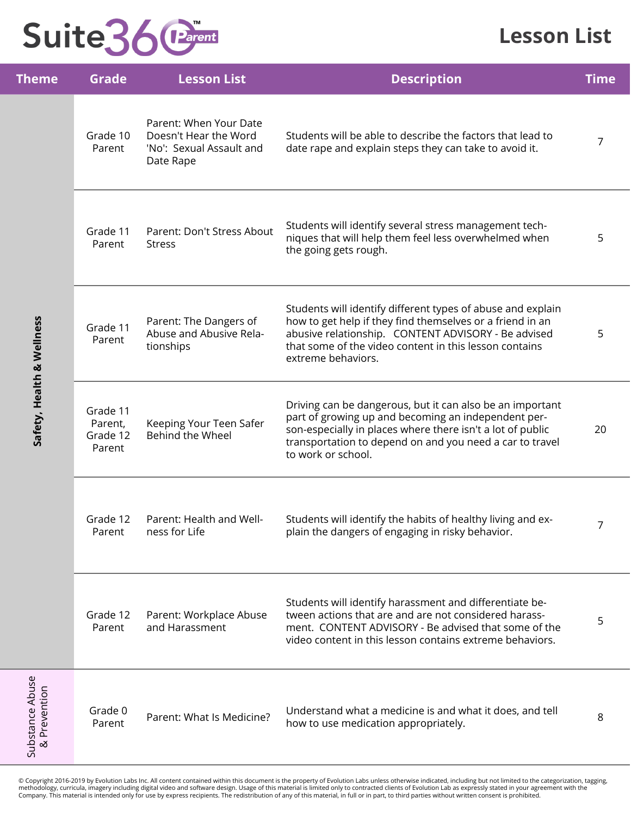#### **Lesson List**

| Theme                           | <b>Grade</b>                              | <b>Lesson List</b>                                                                       | <b>Description</b>                                                                                                                                                                                                                                               | <b>Time</b>    |
|---------------------------------|-------------------------------------------|------------------------------------------------------------------------------------------|------------------------------------------------------------------------------------------------------------------------------------------------------------------------------------------------------------------------------------------------------------------|----------------|
| Safety, Health & Wellness       | Grade 10<br>Parent                        | Parent: When Your Date<br>Doesn't Hear the Word<br>'No': Sexual Assault and<br>Date Rape | Students will be able to describe the factors that lead to<br>date rape and explain steps they can take to avoid it.                                                                                                                                             | $\overline{7}$ |
|                                 | Grade 11<br>Parent                        | Parent: Don't Stress About<br><b>Stress</b>                                              | Students will identify several stress management tech-<br>niques that will help them feel less overwhelmed when<br>the going gets rough.                                                                                                                         | 5              |
|                                 | Grade 11<br>Parent                        | Parent: The Dangers of<br>Abuse and Abusive Rela-<br>tionships                           | Students will identify different types of abuse and explain<br>how to get help if they find themselves or a friend in an<br>abusive relationship. CONTENT ADVISORY - Be advised<br>that some of the video content in this lesson contains<br>extreme behaviors.  | 5              |
|                                 | Grade 11<br>Parent,<br>Grade 12<br>Parent | Keeping Your Teen Safer<br>Behind the Wheel                                              | Driving can be dangerous, but it can also be an important<br>part of growing up and becoming an independent per-<br>son-especially in places where there isn't a lot of public<br>transportation to depend on and you need a car to travel<br>to work or school. | 20             |
|                                 | Grade 12<br>Parent                        | Parent: Health and Well-<br>ness for Life                                                | Students will identify the habits of healthy living and ex-<br>plain the dangers of engaging in risky behavior.                                                                                                                                                  | 7              |
|                                 | Grade 12<br>Parent                        | Parent: Workplace Abuse<br>and Harassment                                                | Students will identify harassment and differentiate be-<br>tween actions that are and are not considered harass-<br>ment. CONTENT ADVISORY - Be advised that some of the<br>video content in this lesson contains extreme behaviors.                             | 5              |
| Substance Abuse<br>& Prevention | Grade 0<br>Parent                         | Parent: What Is Medicine?                                                                | Understand what a medicine is and what it does, and tell<br>how to use medication appropriately.                                                                                                                                                                 | 8              |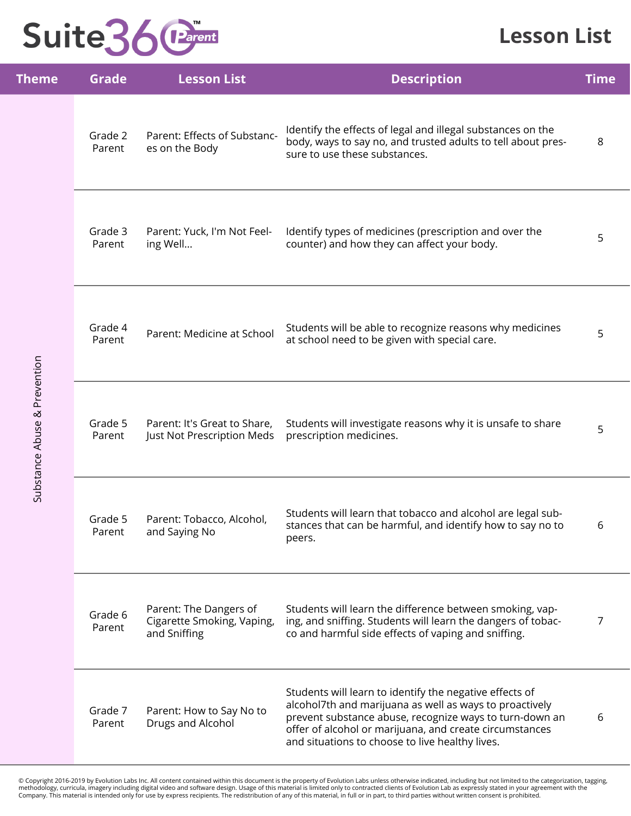#### **Lesson List**

| <b>Theme</b>                 | <b>Grade</b>      | <b>Lesson List</b>                                                   | <b>Description</b>                                                                                                                                                                                                                                                                          | <b>Time</b> |
|------------------------------|-------------------|----------------------------------------------------------------------|---------------------------------------------------------------------------------------------------------------------------------------------------------------------------------------------------------------------------------------------------------------------------------------------|-------------|
|                              | Grade 2<br>Parent | Parent: Effects of Substanc-<br>es on the Body                       | Identify the effects of legal and illegal substances on the<br>body, ways to say no, and trusted adults to tell about pres-<br>sure to use these substances.                                                                                                                                | 8           |
|                              | Grade 3<br>Parent | Parent: Yuck, I'm Not Feel-<br>ing Well                              | Identify types of medicines (prescription and over the<br>counter) and how they can affect your body.                                                                                                                                                                                       | 5           |
|                              | Grade 4<br>Parent | Parent: Medicine at School                                           | Students will be able to recognize reasons why medicines<br>at school need to be given with special care.                                                                                                                                                                                   | 5           |
| Substance Abuse & Prevention | Grade 5<br>Parent | Parent: It's Great to Share,<br>Just Not Prescription Meds           | Students will investigate reasons why it is unsafe to share<br>prescription medicines.                                                                                                                                                                                                      | 5           |
|                              | Grade 5<br>Parent | Parent: Tobacco, Alcohol,<br>and Saying No                           | Students will learn that tobacco and alcohol are legal sub-<br>stances that can be harmful, and identify how to say no to<br>peers.                                                                                                                                                         |             |
|                              | Grade 6<br>Parent | Parent: The Dangers of<br>Cigarette Smoking, Vaping,<br>and Sniffing | Students will learn the difference between smoking, vap-<br>ing, and sniffing. Students will learn the dangers of tobac-<br>co and harmful side effects of vaping and sniffing.                                                                                                             | 7           |
|                              | Grade 7<br>Parent | Parent: How to Say No to<br>Drugs and Alcohol                        | Students will learn to identify the negative effects of<br>alcohol7th and marijuana as well as ways to proactively<br>prevent substance abuse, recognize ways to turn-down an<br>offer of alcohol or marijuana, and create circumstances<br>and situations to choose to live healthy lives. | 6           |